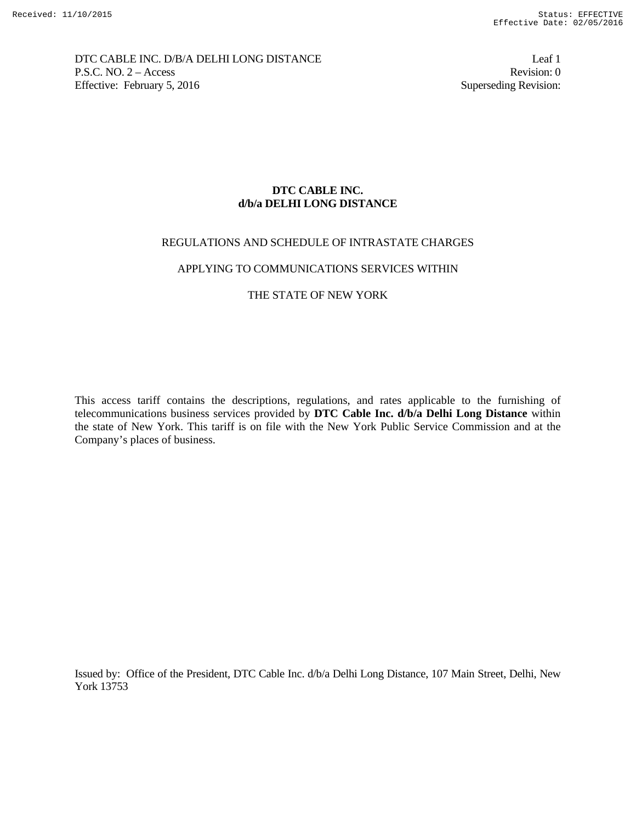DTC CABLE INC. D/B/A DELHI LONG DISTANCE Leaf 1 P.S.C. NO. 2 – Access Revision: 0 Effective: February 5, 2016 Superseding Revision:

# **DTC CABLE INC. d/b/a DELHI LONG DISTANCE**

## REGULATIONS AND SCHEDULE OF INTRASTATE CHARGES

### APPLYING TO COMMUNICATIONS SERVICES WITHIN

## THE STATE OF NEW YORK

This access tariff contains the descriptions, regulations, and rates applicable to the furnishing of telecommunications business services provided by **DTC Cable Inc. d/b/a Delhi Long Distance** within the state of New York. This tariff is on file with the New York Public Service Commission and at the Company's places of business.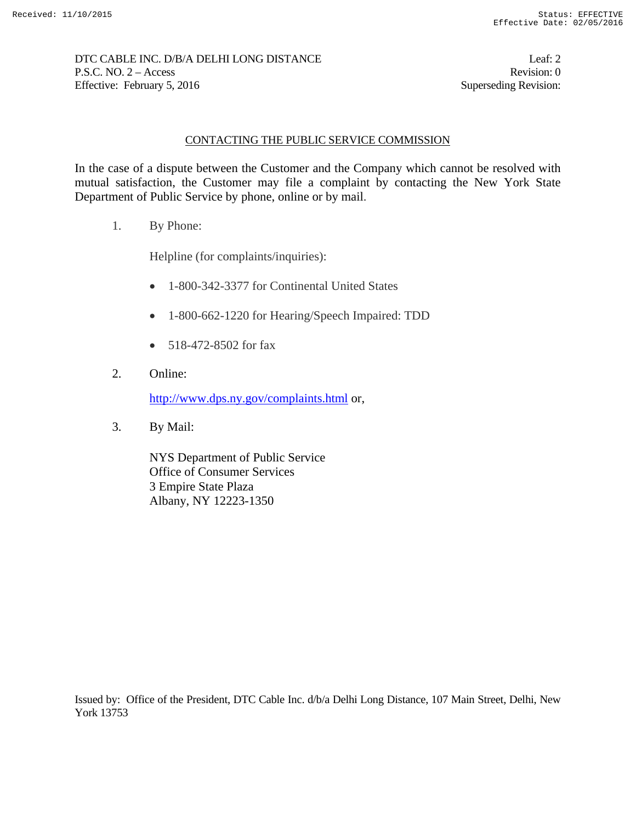DTC CABLE INC. D/B/A DELHI LONG DISTANCE Leaf: 2 P.S.C. NO. 2 – Access Revision: 0 Effective: February 5, 2016 Superseding Revision:

# CONTACTING THE PUBLIC SERVICE COMMISSION

In the case of a dispute between the Customer and the Company which cannot be resolved with mutual satisfaction, the Customer may file a complaint by contacting the New York State Department of Public Service by phone, online or by mail.

1. By Phone:

Helpline (for complaints/inquiries):

- 1-800-342-3377 for Continental United States
- 1-800-662-1220 for Hearing/Speech Impaired: TDD
- $\bullet$  518-472-8502 for fax
- 2. Online:

http://www.dps.ny.gov/complaints.html or,

3. By Mail:

NYS Department of Public Service Office of Consumer Services 3 Empire State Plaza Albany, NY 12223-1350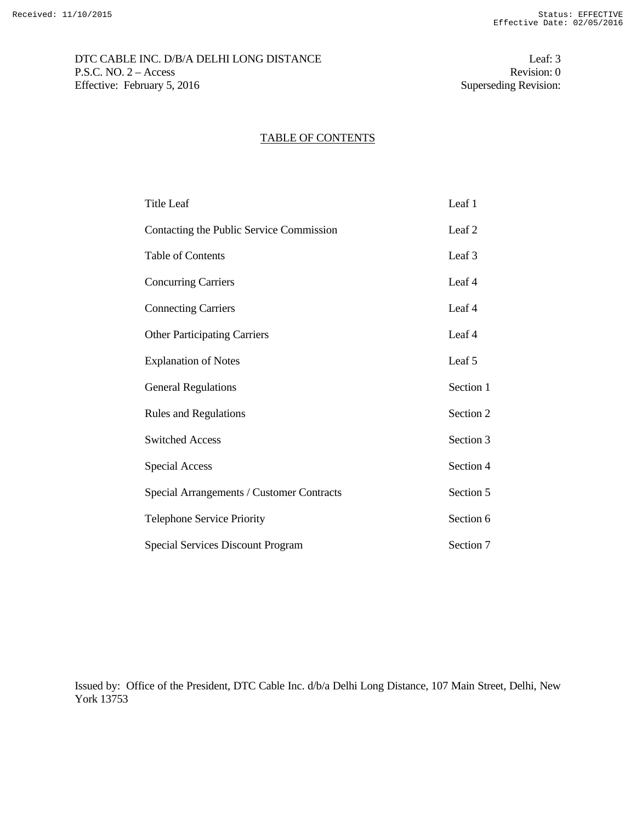DTC CABLE INC. D/B/A DELHI LONG DISTANCE Leaf: 3 P.S.C. NO. 2 – Access Revision: 0<br>Effective: February 5, 2016 Superseding Revision: 0 Effective: February 5, 2016

## TABLE OF CONTENTS

| Title Leaf                                | Leaf 1    |
|-------------------------------------------|-----------|
| Contacting the Public Service Commission  | Leaf 2    |
| <b>Table of Contents</b>                  | Leaf 3    |
| <b>Concurring Carriers</b>                | Leaf 4    |
| <b>Connecting Carriers</b>                | Leaf 4    |
| <b>Other Participating Carriers</b>       | Leaf 4    |
| <b>Explanation of Notes</b>               | Leaf 5    |
| <b>General Regulations</b>                | Section 1 |
| <b>Rules and Regulations</b>              | Section 2 |
| <b>Switched Access</b>                    | Section 3 |
| <b>Special Access</b>                     | Section 4 |
| Special Arrangements / Customer Contracts | Section 5 |
| <b>Telephone Service Priority</b>         | Section 6 |
| <b>Special Services Discount Program</b>  | Section 7 |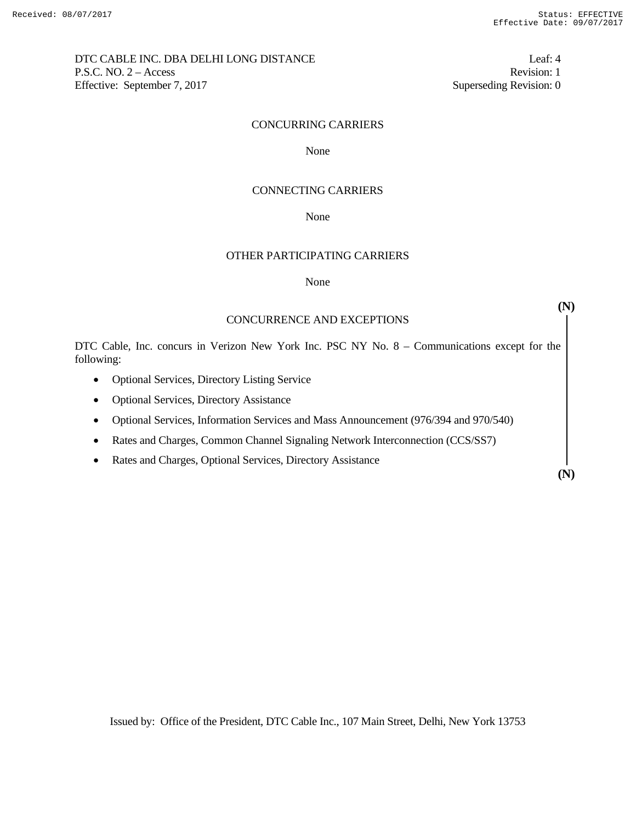DTC CABLE INC. DBA DELHI LONG DISTANCE Leaf: 4 P.S.C. NO. 2 – Access Revision: 1 Effective: September 7, 2017 Superseding Revision: 0

## CONCURRING CARRIERS

None None

### CONNECTING CARRIERS

None None

## OTHER PARTICIPATING CARRIERS

#### None

**(N)** 

## CONCURRENCE AND EXCEPTIONS

DTC Cable, Inc. concurs in Verizon New York Inc. PSC NY No. 8 – Communications except for the following:

- Optional Services, Directory Listing Service
- Optional Services, Directory Assistance
- Optional Services, Information Services and Mass Announcement (976/394 and 970/540)
- Rates and Charges, Common Channel Signaling Network Interconnection (CCS/SS7)
- Rates and Charges, Optional Services, Directory Assistance

**(N)**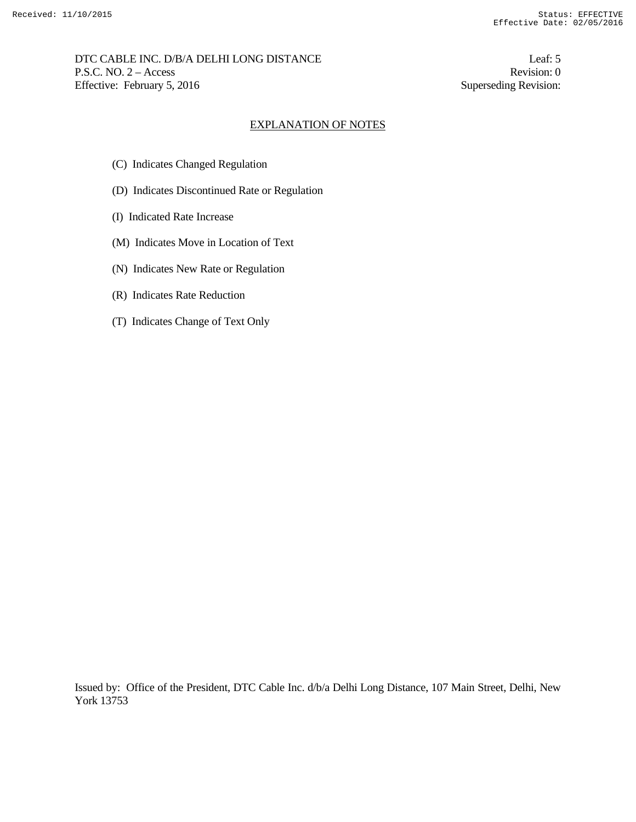DTC CABLE INC. D/B/A DELHI LONG DISTANCE Leaf: 5 P.S.C. NO. 2 – Access Revision: 0 Effective: February 5, 2016 Superseding Revision:

### EXPLANATION OF NOTES

- (C) Indicates Changed Regulation
- (D) Indicates Discontinued Rate or Regulation
- (I) Indicated Rate Increase
- (M) Indicates Move in Location of Text
- (N) Indicates New Rate or Regulation
- (R) Indicates Rate Reduction
- (T) Indicates Change of Text Only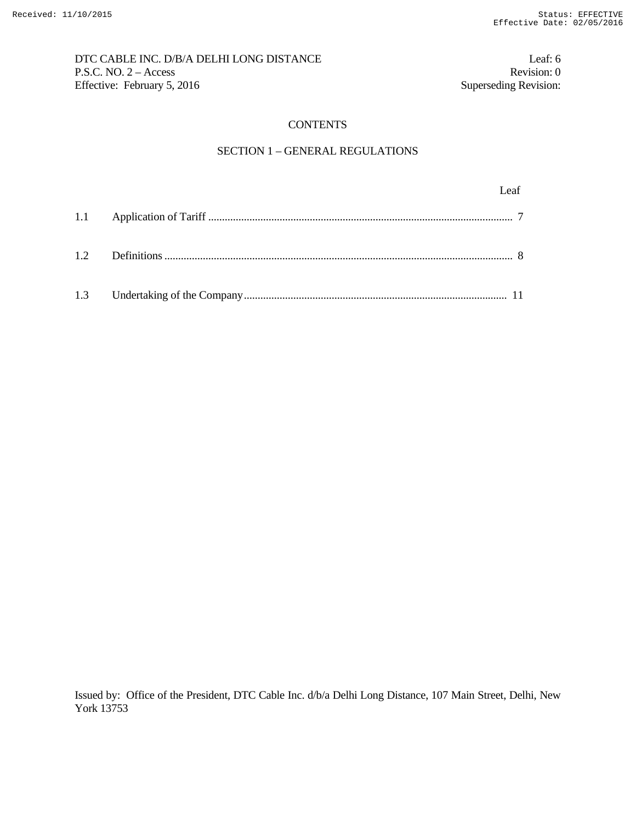# DTC CABLE INC. D/B/A DELHI LONG DISTANCE Leaf: 6 P.S.C. NO. 2 – Access Revision: 0<br>Effective: February 5, 2016 Superseding Revision: 0 Effective: February 5, 2016

## **CONTENTS**

## SECTION 1 – GENERAL REGULATIONS

| 1.2 |  |
|-----|--|
| 1.3 |  |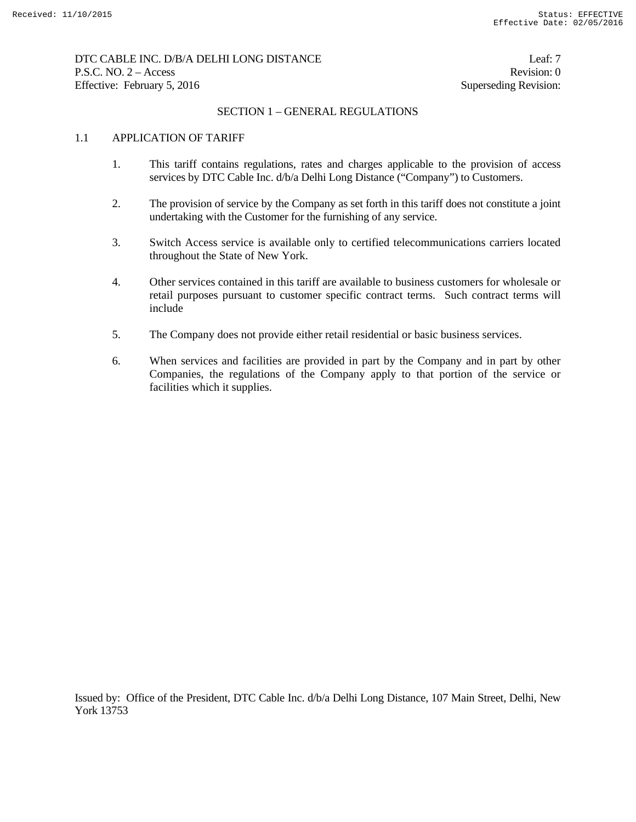# DTC CABLE INC. D/B/A DELHI LONG DISTANCE Leaf: 7 P.S.C. NO. 2 – Access Revision: 0 Effective: February 5, 2016 Superseding Revision:

# SECTION 1 – GENERAL REGULATIONS

## 1.1 APPLICATION OF TARIFF

- 1. This tariff contains regulations, rates and charges applicable to the provision of access services by DTC Cable Inc. d/b/a Delhi Long Distance ("Company") to Customers.
- 2. The provision of service by the Company as set forth in this tariff does not constitute a joint undertaking with the Customer for the furnishing of any service.
- 3. Switch Access service is available only to certified telecommunications carriers located throughout the State of New York.
- 4. Other services contained in this tariff are available to business customers for wholesale or retail purposes pursuant to customer specific contract terms. Such contract terms will include
- 5. The Company does not provide either retail residential or basic business services.
- 6. When services and facilities are provided in part by the Company and in part by other Companies, the regulations of the Company apply to that portion of the service or facilities which it supplies.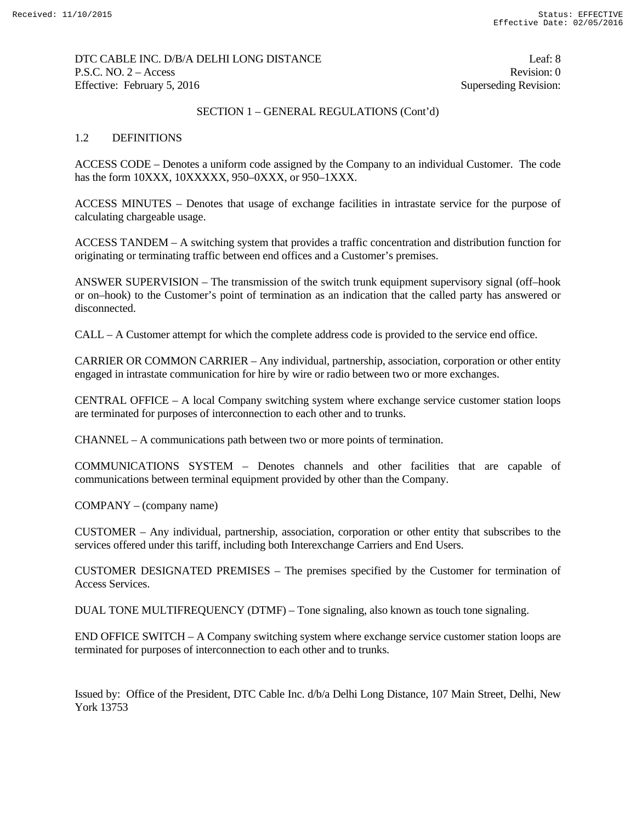# DTC CABLE INC. D/B/A DELHI LONG DISTANCE Leaf: 8 P.S.C. NO. 2 – Access Revision: 0 Effective: February 5, 2016 Superseding Revision:

# SECTION 1 – GENERAL REGULATIONS (Cont'd)

## 1.2 DEFINITIONS

ACCESS CODE – Denotes a uniform code assigned by the Company to an individual Customer. The code has the form 10XXX, 10XXXXX, 950–0XXX, or 950–1XXX.

ACCESS MINUTES – Denotes that usage of exchange facilities in intrastate service for the purpose of calculating chargeable usage.

ACCESS TANDEM – A switching system that provides a traffic concentration and distribution function for originating or terminating traffic between end offices and a Customer's premises.

ANSWER SUPERVISION – The transmission of the switch trunk equipment supervisory signal (off–hook or on–hook) to the Customer's point of termination as an indication that the called party has answered or disconnected.

CALL – A Customer attempt for which the complete address code is provided to the service end office.

CARRIER OR COMMON CARRIER – Any individual, partnership, association, corporation or other entity engaged in intrastate communication for hire by wire or radio between two or more exchanges.

CENTRAL OFFICE – A local Company switching system where exchange service customer station loops are terminated for purposes of interconnection to each other and to trunks.

CHANNEL – A communications path between two or more points of termination.

COMMUNICATIONS SYSTEM – Denotes channels and other facilities that are capable of communications between terminal equipment provided by other than the Company.

COMPANY – (company name)

CUSTOMER – Any individual, partnership, association, corporation or other entity that subscribes to the services offered under this tariff, including both Interexchange Carriers and End Users.

CUSTOMER DESIGNATED PREMISES – The premises specified by the Customer for termination of Access Services.

DUAL TONE MULTIFREQUENCY (DTMF) – Tone signaling, also known as touch tone signaling.

END OFFICE SWITCH – A Company switching system where exchange service customer station loops are terminated for purposes of interconnection to each other and to trunks.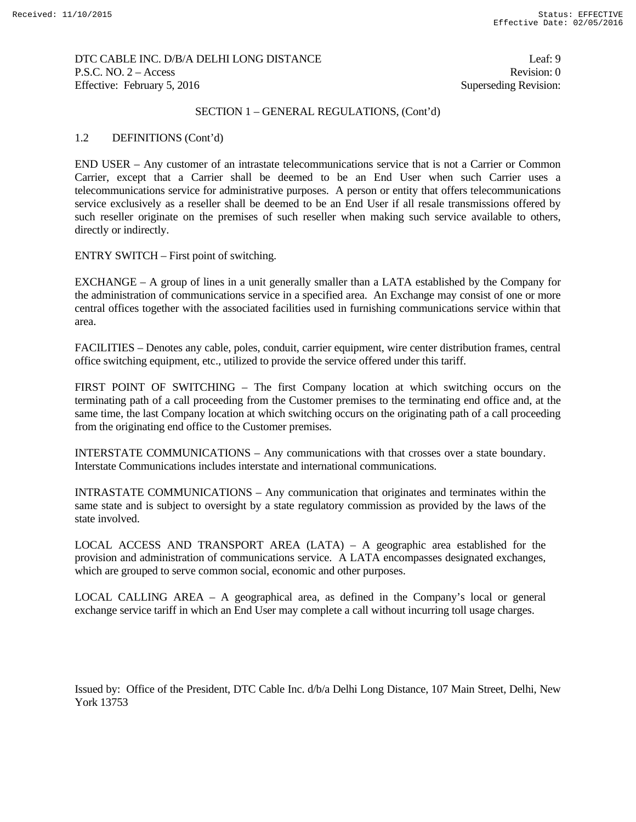## DTC CABLE INC. D/B/A DELHI LONG DISTANCE Leaf: 9 P.S.C. NO. 2 – Access Revision: 0 Effective: February 5, 2016 Superseding Revision:

## SECTION 1 – GENERAL REGULATIONS, (Cont'd)

## 1.2 DEFINITIONS (Cont'd)

END USER – Any customer of an intrastate telecommunications service that is not a Carrier or Common Carrier, except that a Carrier shall be deemed to be an End User when such Carrier uses a telecommunications service for administrative purposes. A person or entity that offers telecommunications service exclusively as a reseller shall be deemed to be an End User if all resale transmissions offered by such reseller originate on the premises of such reseller when making such service available to others, directly or indirectly.

## ENTRY SWITCH – First point of switching.

EXCHANGE – A group of lines in a unit generally smaller than a LATA established by the Company for the administration of communications service in a specified area. An Exchange may consist of one or more central offices together with the associated facilities used in furnishing communications service within that area.

FACILITIES – Denotes any cable, poles, conduit, carrier equipment, wire center distribution frames, central office switching equipment, etc., utilized to provide the service offered under this tariff.

FIRST POINT OF SWITCHING – The first Company location at which switching occurs on the terminating path of a call proceeding from the Customer premises to the terminating end office and, at the same time, the last Company location at which switching occurs on the originating path of a call proceeding from the originating end office to the Customer premises.

INTERSTATE COMMUNICATIONS – Any communications with that crosses over a state boundary. Interstate Communications includes interstate and international communications.

INTRASTATE COMMUNICATIONS – Any communication that originates and terminates within the same state and is subject to oversight by a state regulatory commission as provided by the laws of the state involved.

LOCAL ACCESS AND TRANSPORT AREA (LATA) – A geographic area established for the provision and administration of communications service. A LATA encompasses designated exchanges, which are grouped to serve common social, economic and other purposes.

LOCAL CALLING AREA – A geographical area, as defined in the Company's local or general exchange service tariff in which an End User may complete a call without incurring toll usage charges.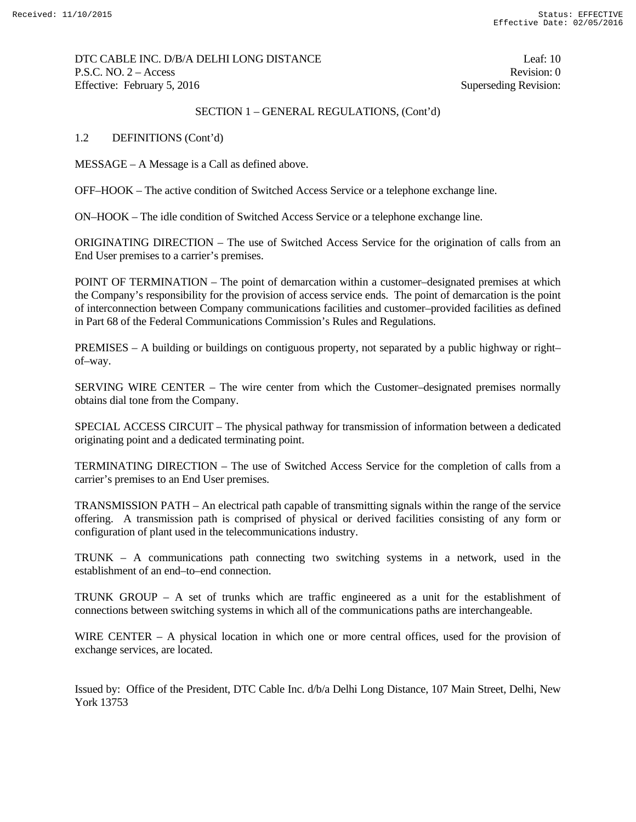DTC CABLE INC. D/B/A DELHI LONG DISTANCE Leaf: 10 P.S.C. NO. 2 – Access Revision: 0 Effective: February 5, 2016 Superseding Revision:

## SECTION 1 – GENERAL REGULATIONS, (Cont'd)

1.2 DEFINITIONS (Cont'd)

MESSAGE – A Message is a Call as defined above.

OFF–HOOK – The active condition of Switched Access Service or a telephone exchange line.

ON–HOOK – The idle condition of Switched Access Service or a telephone exchange line.

ORIGINATING DIRECTION – The use of Switched Access Service for the origination of calls from an End User premises to a carrier's premises.

POINT OF TERMINATION – The point of demarcation within a customer–designated premises at which the Company's responsibility for the provision of access service ends. The point of demarcation is the point of interconnection between Company communications facilities and customer–provided facilities as defined in Part 68 of the Federal Communications Commission's Rules and Regulations.

PREMISES – A building or buildings on contiguous property, not separated by a public highway or right– of–way.

SERVING WIRE CENTER – The wire center from which the Customer–designated premises normally obtains dial tone from the Company.

SPECIAL ACCESS CIRCUIT – The physical pathway for transmission of information between a dedicated originating point and a dedicated terminating point.

TERMINATING DIRECTION – The use of Switched Access Service for the completion of calls from a carrier's premises to an End User premises.

TRANSMISSION PATH – An electrical path capable of transmitting signals within the range of the service offering. A transmission path is comprised of physical or derived facilities consisting of any form or configuration of plant used in the telecommunications industry.

TRUNK – A communications path connecting two switching systems in a network, used in the establishment of an end–to–end connection.

TRUNK GROUP – A set of trunks which are traffic engineered as a unit for the establishment of connections between switching systems in which all of the communications paths are interchangeable.

WIRE CENTER – A physical location in which one or more central offices, used for the provision of exchange services, are located.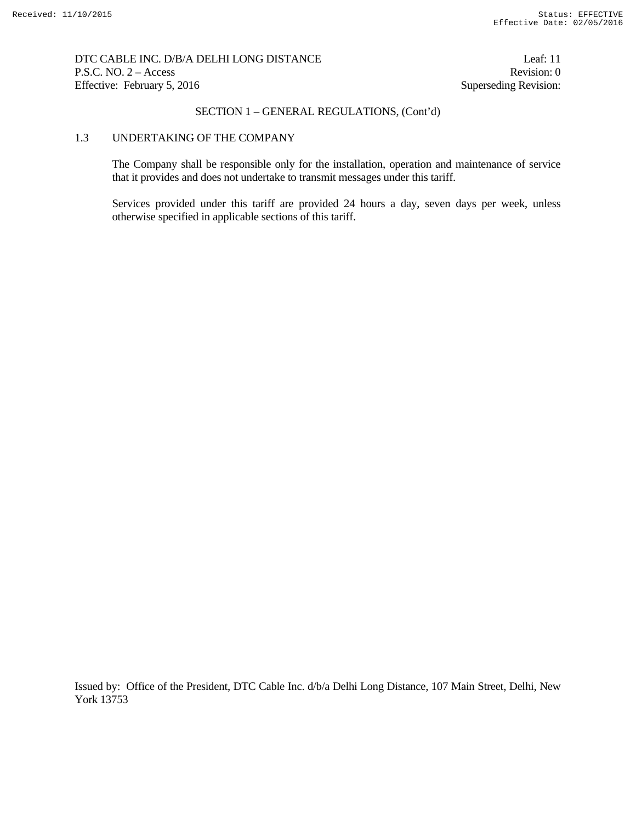## DTC CABLE INC. D/B/A DELHI LONG DISTANCE Leaf: 11 P.S.C. NO. 2 – Access Revision: 0 Effective: February 5, 2016 Superseding Revision:

## SECTION 1 – GENERAL REGULATIONS, (Cont'd)

### 1.3 UNDERTAKING OF THE COMPANY

 The Company shall be responsible only for the installation, operation and maintenance of service that it provides and does not undertake to transmit messages under this tariff.

 Services provided under this tariff are provided 24 hours a day, seven days per week, unless otherwise specified in applicable sections of this tariff.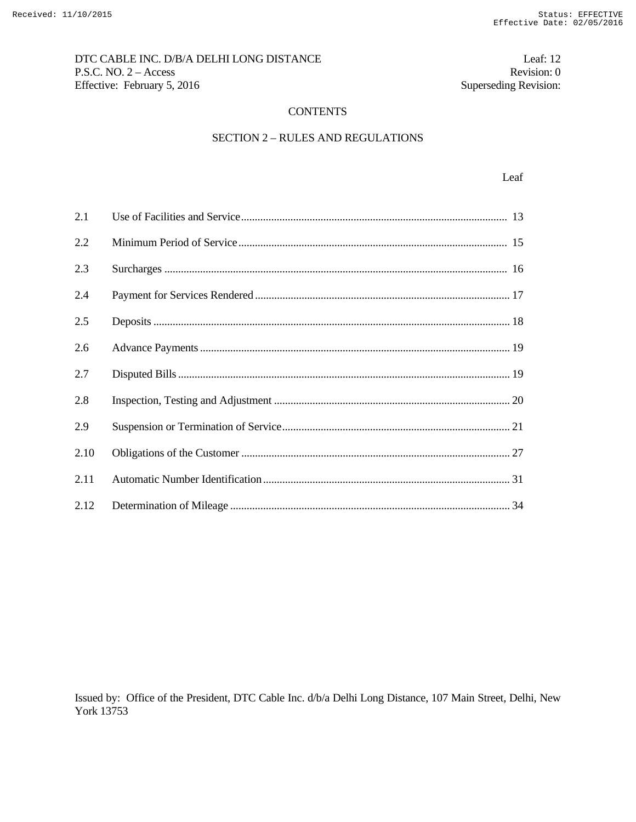# DTC CABLE INC. D/B/A DELHI LONG DISTANCE Leaf: 12 P.S.C. NO. 2 – Access Revision: 0<br>Effective: February 5, 2016 Superseding Revision: 0 Effective: February 5, 2016

## **CONTENTS**

# SECTION 2 – RULES AND REGULATIONS

## Leaf broad and the set of the set of the set of the set of the set of the set of the set of the set of the set of the set of the set of the set of the set of the set of the set of the set of the set of the set of the set o

| 2.1  |  |
|------|--|
| 2.2  |  |
| 2.3  |  |
| 2.4  |  |
| 2.5  |  |
| 2.6  |  |
| 2.7  |  |
| 2.8  |  |
| 2.9  |  |
| 2.10 |  |
| 2.11 |  |
| 2.12 |  |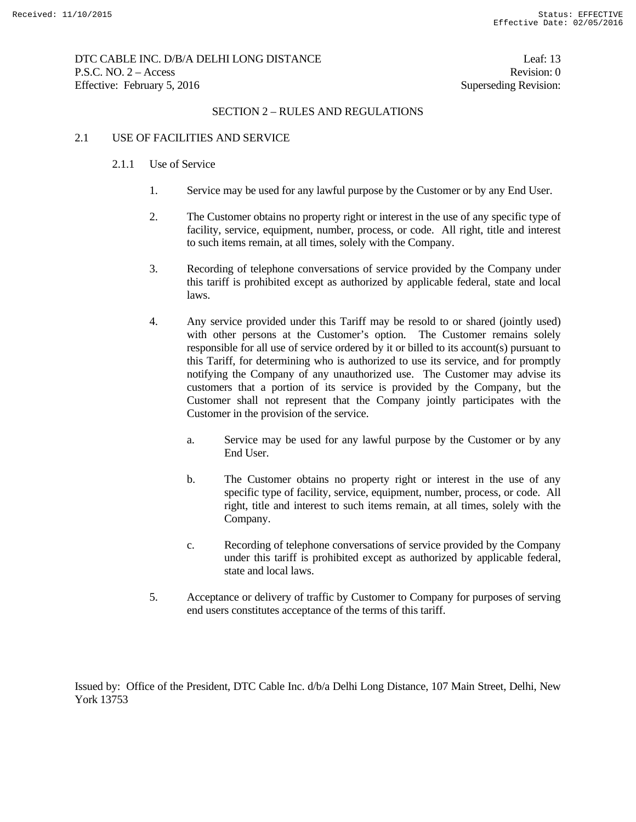## DTC CABLE INC. D/B/A DELHI LONG DISTANCE Leaf: 13 P.S.C. NO. 2 – Access Revision: 0 Effective: February 5, 2016 Superseding Revision:

## SECTION 2 – RULES AND REGULATIONS

## 2.1 USE OF FACILITIES AND SERVICE

### 2.1.1 Use of Service

- 1. Service may be used for any lawful purpose by the Customer or by any End User.
- 2. The Customer obtains no property right or interest in the use of any specific type of facility, service, equipment, number, process, or code. All right, title and interest to such items remain, at all times, solely with the Company.
- 3. Recording of telephone conversations of service provided by the Company under this tariff is prohibited except as authorized by applicable federal, state and local laws.
- 4. Any service provided under this Tariff may be resold to or shared (jointly used) with other persons at the Customer's option. The Customer remains solely responsible for all use of service ordered by it or billed to its account(s) pursuant to this Tariff, for determining who is authorized to use its service, and for promptly notifying the Company of any unauthorized use. The Customer may advise its customers that a portion of its service is provided by the Company, but the Customer shall not represent that the Company jointly participates with the Customer in the provision of the service.
	- a. Service may be used for any lawful purpose by the Customer or by any End User.
	- b. The Customer obtains no property right or interest in the use of any specific type of facility, service, equipment, number, process, or code. All right, title and interest to such items remain, at all times, solely with the Company.
	- c. Recording of telephone conversations of service provided by the Company under this tariff is prohibited except as authorized by applicable federal, state and local laws.
- 5. Acceptance or delivery of traffic by Customer to Company for purposes of serving end users constitutes acceptance of the terms of this tariff.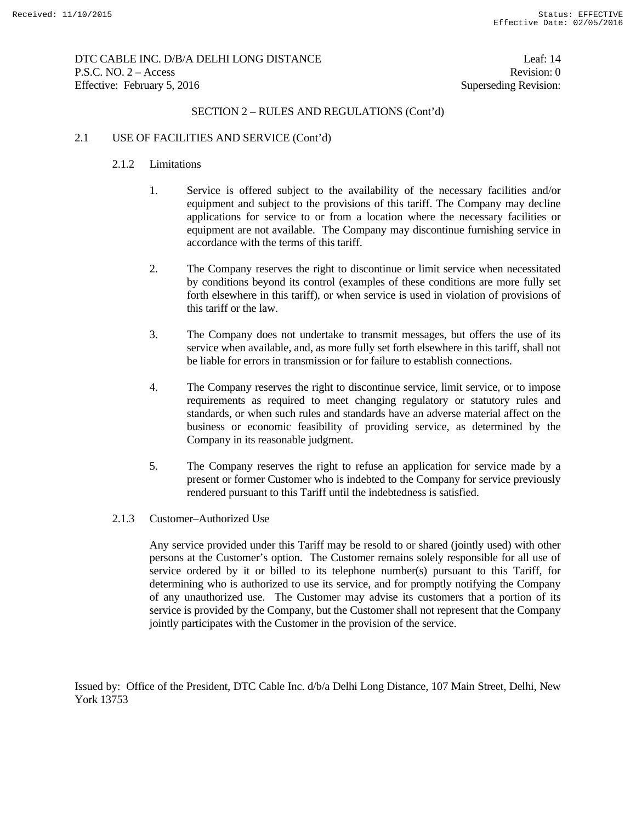# DTC CABLE INC. D/B/A DELHI LONG DISTANCE Leaf: 14 P.S.C. NO. 2 – Access Revision: 0 Effective: February 5, 2016 Superseding Revision:

# SECTION 2 – RULES AND REGULATIONS (Cont'd)

## 2.1 USE OF FACILITIES AND SERVICE (Cont'd)

## 2.1.2 Limitations

- 1. Service is offered subject to the availability of the necessary facilities and/or equipment and subject to the provisions of this tariff. The Company may decline applications for service to or from a location where the necessary facilities or equipment are not available. The Company may discontinue furnishing service in accordance with the terms of this tariff.
- 2. The Company reserves the right to discontinue or limit service when necessitated by conditions beyond its control (examples of these conditions are more fully set forth elsewhere in this tariff), or when service is used in violation of provisions of this tariff or the law.
- 3. The Company does not undertake to transmit messages, but offers the use of its service when available, and, as more fully set forth elsewhere in this tariff, shall not be liable for errors in transmission or for failure to establish connections.
- 4. The Company reserves the right to discontinue service, limit service, or to impose requirements as required to meet changing regulatory or statutory rules and standards, or when such rules and standards have an adverse material affect on the business or economic feasibility of providing service, as determined by the Company in its reasonable judgment.
- 5. The Company reserves the right to refuse an application for service made by a present or former Customer who is indebted to the Company for service previously rendered pursuant to this Tariff until the indebtedness is satisfied.
- 2.1.3 Customer–Authorized Use

Any service provided under this Tariff may be resold to or shared (jointly used) with other persons at the Customer's option. The Customer remains solely responsible for all use of service ordered by it or billed to its telephone number(s) pursuant to this Tariff, for determining who is authorized to use its service, and for promptly notifying the Company of any unauthorized use. The Customer may advise its customers that a portion of its service is provided by the Company, but the Customer shall not represent that the Company jointly participates with the Customer in the provision of the service.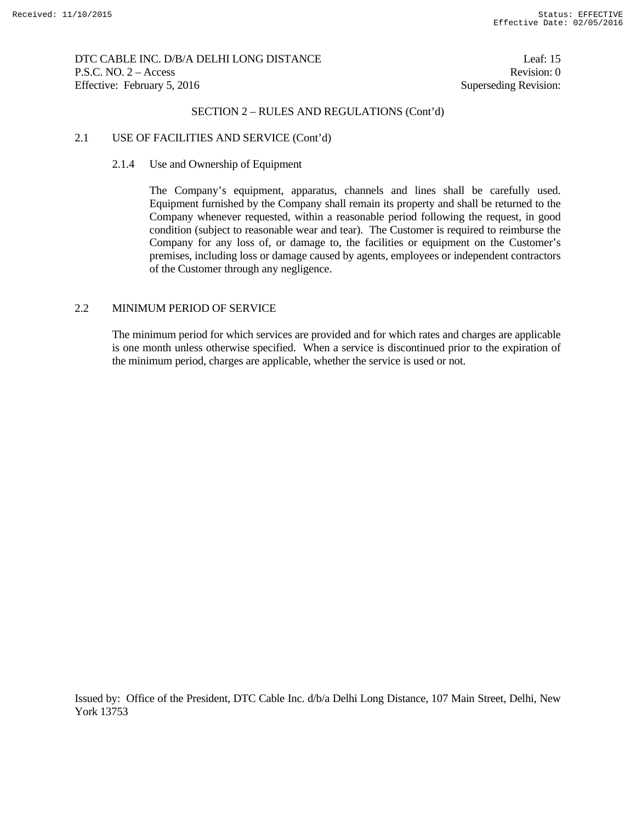DTC CABLE INC. D/B/A DELHI LONG DISTANCE Leaf: 15 P.S.C. NO. 2 – Access Revision: 0 Effective: February 5, 2016 Superseding Revision:

# SECTION 2 – RULES AND REGULATIONS (Cont'd)

#### 2.1 USE OF FACILITIES AND SERVICE (Cont'd)

#### 2.1.4 Use and Ownership of Equipment

The Company's equipment, apparatus, channels and lines shall be carefully used. Equipment furnished by the Company shall remain its property and shall be returned to the Company whenever requested, within a reasonable period following the request, in good condition (subject to reasonable wear and tear). The Customer is required to reimburse the Company for any loss of, or damage to, the facilities or equipment on the Customer's premises, including loss or damage caused by agents, employees or independent contractors of the Customer through any negligence.

## 2.2 MINIMUM PERIOD OF SERVICE

 The minimum period for which services are provided and for which rates and charges are applicable is one month unless otherwise specified. When a service is discontinued prior to the expiration of the minimum period, charges are applicable, whether the service is used or not.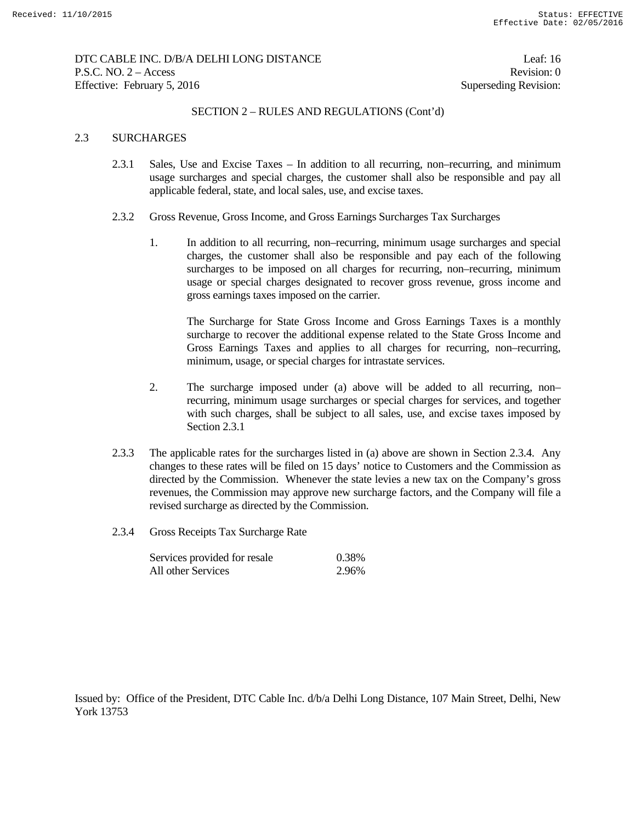## DTC CABLE INC. D/B/A DELHI LONG DISTANCE Leaf: 16 P.S.C. NO. 2 – Access Revision: 0 Effective: February 5, 2016 Superseding Revision:

## SECTION 2 – RULES AND REGULATIONS (Cont'd)

## 2.3 SURCHARGES

- 2.3.1 Sales, Use and Excise Taxes In addition to all recurring, non–recurring, and minimum usage surcharges and special charges, the customer shall also be responsible and pay all applicable federal, state, and local sales, use, and excise taxes.
- 2.3.2 Gross Revenue, Gross Income, and Gross Earnings Surcharges Tax Surcharges
	- 1. In addition to all recurring, non–recurring, minimum usage surcharges and special charges, the customer shall also be responsible and pay each of the following surcharges to be imposed on all charges for recurring, non–recurring, minimum usage or special charges designated to recover gross revenue, gross income and gross earnings taxes imposed on the carrier.

The Surcharge for State Gross Income and Gross Earnings Taxes is a monthly surcharge to recover the additional expense related to the State Gross Income and Gross Earnings Taxes and applies to all charges for recurring, non–recurring, minimum, usage, or special charges for intrastate services.

- 2. The surcharge imposed under (a) above will be added to all recurring, non– recurring, minimum usage surcharges or special charges for services, and together with such charges, shall be subject to all sales, use, and excise taxes imposed by Section 2.3.1
- 2.3.3 The applicable rates for the surcharges listed in (a) above are shown in Section 2.3.4. Any changes to these rates will be filed on 15 days' notice to Customers and the Commission as directed by the Commission. Whenever the state levies a new tax on the Company's gross revenues, the Commission may approve new surcharge factors, and the Company will file a revised surcharge as directed by the Commission.
- 2.3.4 Gross Receipts Tax Surcharge Rate

| Services provided for resale | 0.38% |
|------------------------------|-------|
| All other Services           | 2.96% |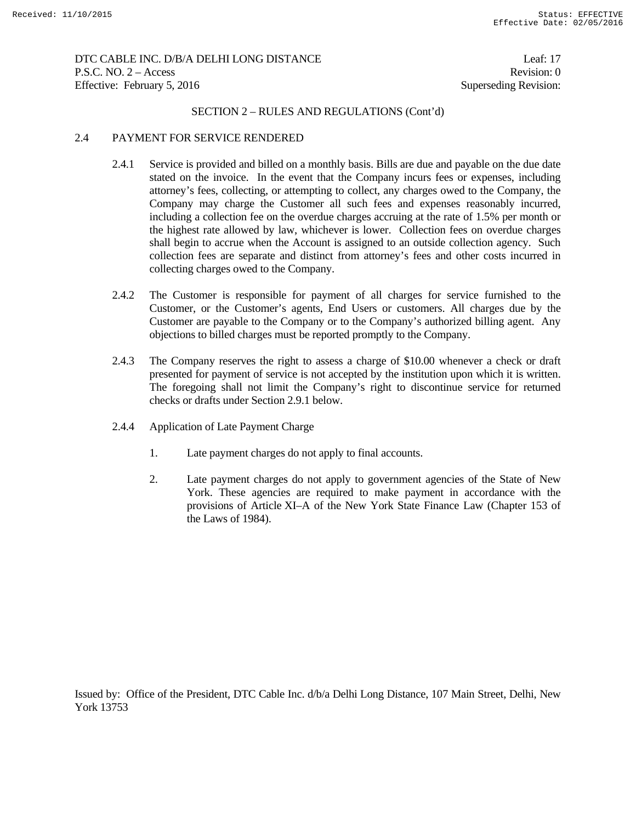## DTC CABLE INC. D/B/A DELHI LONG DISTANCE Leaf: 17 P.S.C. NO. 2 – Access Revision: 0 Effective: February 5, 2016 Superseding Revision:

## SECTION 2 – RULES AND REGULATIONS (Cont'd)

### 2.4 PAYMENT FOR SERVICE RENDERED

- 2.4.1 Service is provided and billed on a monthly basis. Bills are due and payable on the due date stated on the invoice. In the event that the Company incurs fees or expenses, including attorney's fees, collecting, or attempting to collect, any charges owed to the Company, the Company may charge the Customer all such fees and expenses reasonably incurred, including a collection fee on the overdue charges accruing at the rate of 1.5% per month or the highest rate allowed by law, whichever is lower. Collection fees on overdue charges shall begin to accrue when the Account is assigned to an outside collection agency. Such collection fees are separate and distinct from attorney's fees and other costs incurred in collecting charges owed to the Company.
- 2.4.2 The Customer is responsible for payment of all charges for service furnished to the Customer, or the Customer's agents, End Users or customers. All charges due by the Customer are payable to the Company or to the Company's authorized billing agent. Any objections to billed charges must be reported promptly to the Company.
- 2.4.3 The Company reserves the right to assess a charge of \$10.00 whenever a check or draft presented for payment of service is not accepted by the institution upon which it is written. The foregoing shall not limit the Company's right to discontinue service for returned checks or drafts under Section 2.9.1 below.
- 2.4.4 Application of Late Payment Charge
	- 1. Late payment charges do not apply to final accounts.
	- 2. Late payment charges do not apply to government agencies of the State of New York. These agencies are required to make payment in accordance with the provisions of Article XI–A of the New York State Finance Law (Chapter 153 of the Laws of 1984).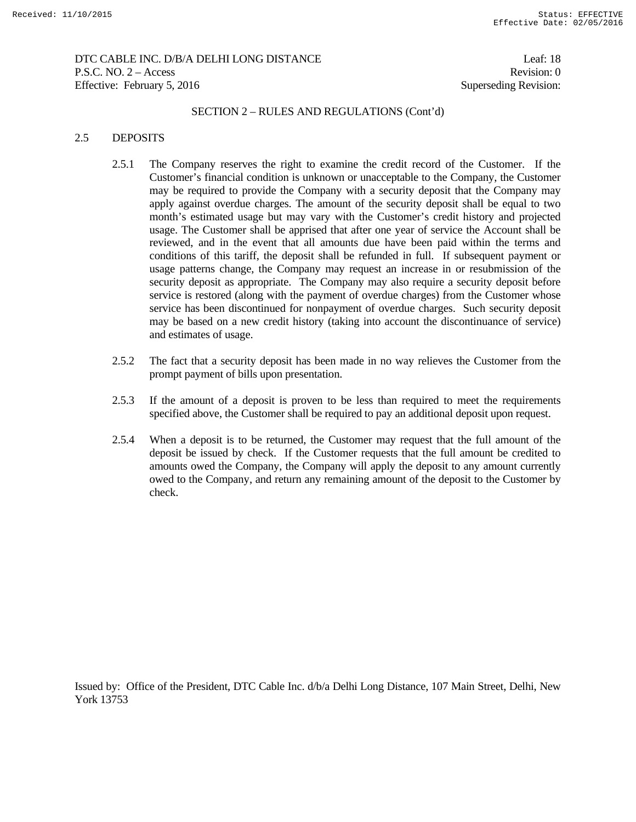## DTC CABLE INC. D/B/A DELHI LONG DISTANCE Leaf: 18 P.S.C. NO. 2 – Access Revision: 0 Effective: February 5, 2016 Superseding Revision:

### SECTION 2 – RULES AND REGULATIONS (Cont'd)

### 2.5 DEPOSITS

- 2.5.1 The Company reserves the right to examine the credit record of the Customer. If the Customer's financial condition is unknown or unacceptable to the Company, the Customer may be required to provide the Company with a security deposit that the Company may apply against overdue charges. The amount of the security deposit shall be equal to two month's estimated usage but may vary with the Customer's credit history and projected usage. The Customer shall be apprised that after one year of service the Account shall be reviewed, and in the event that all amounts due have been paid within the terms and conditions of this tariff, the deposit shall be refunded in full. If subsequent payment or usage patterns change, the Company may request an increase in or resubmission of the security deposit as appropriate. The Company may also require a security deposit before service is restored (along with the payment of overdue charges) from the Customer whose service has been discontinued for nonpayment of overdue charges. Such security deposit may be based on a new credit history (taking into account the discontinuance of service) and estimates of usage.
- 2.5.2 The fact that a security deposit has been made in no way relieves the Customer from the prompt payment of bills upon presentation.
- 2.5.3 If the amount of a deposit is proven to be less than required to meet the requirements specified above, the Customer shall be required to pay an additional deposit upon request.
- 2.5.4 When a deposit is to be returned, the Customer may request that the full amount of the deposit be issued by check. If the Customer requests that the full amount be credited to amounts owed the Company, the Company will apply the deposit to any amount currently owed to the Company, and return any remaining amount of the deposit to the Customer by check.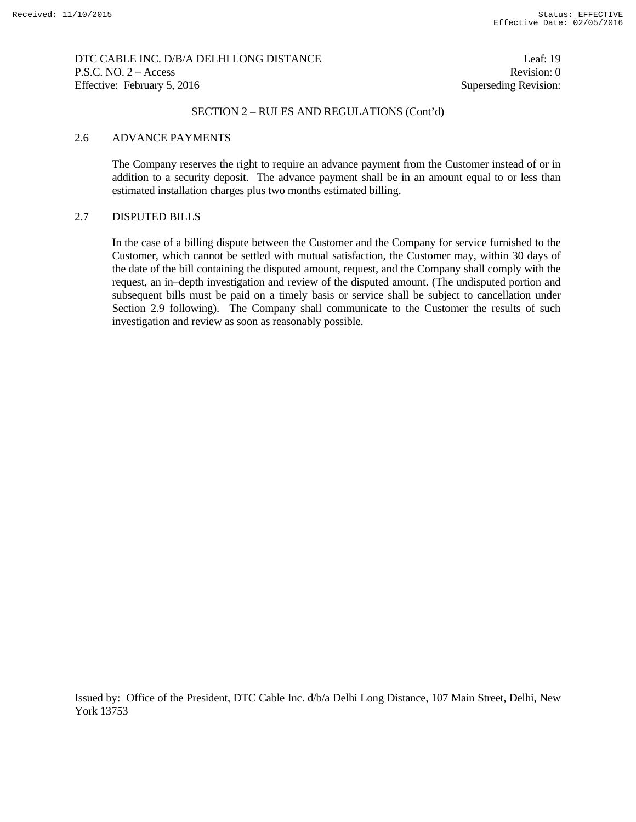## DTC CABLE INC. D/B/A DELHI LONG DISTANCE Leaf: 19 P.S.C. NO. 2 – Access Revision: 0 Effective: February 5, 2016 Superseding Revision:

## SECTION 2 – RULES AND REGULATIONS (Cont'd)

### 2.6 ADVANCE PAYMENTS

 The Company reserves the right to require an advance payment from the Customer instead of or in addition to a security deposit. The advance payment shall be in an amount equal to or less than estimated installation charges plus two months estimated billing.

## 2.7 DISPUTED BILLS

 In the case of a billing dispute between the Customer and the Company for service furnished to the Customer, which cannot be settled with mutual satisfaction, the Customer may, within 30 days of the date of the bill containing the disputed amount, request, and the Company shall comply with the request, an in–depth investigation and review of the disputed amount. (The undisputed portion and subsequent bills must be paid on a timely basis or service shall be subject to cancellation under Section 2.9 following). The Company shall communicate to the Customer the results of such investigation and review as soon as reasonably possible.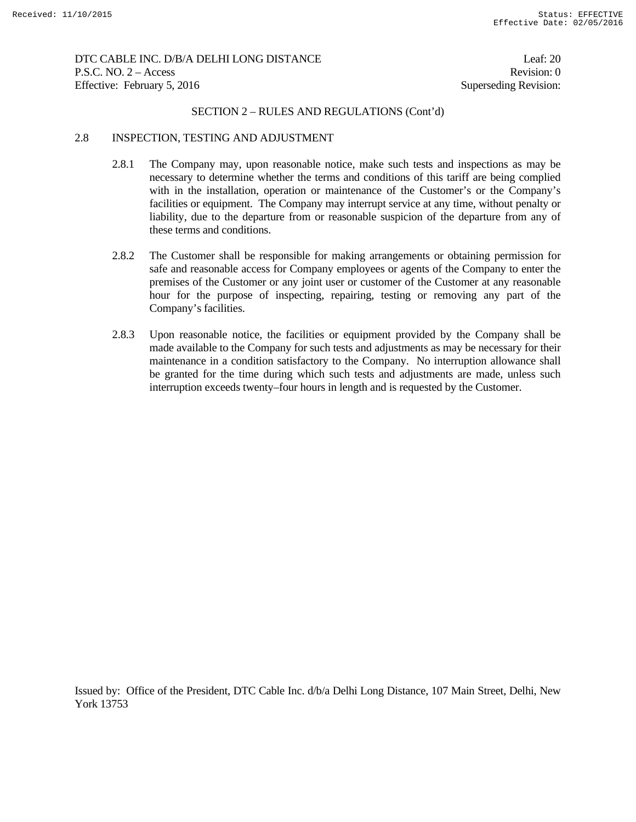## DTC CABLE INC. D/B/A DELHI LONG DISTANCE Leaf: 20 P.S.C. NO. 2 – Access Revision: 0 Effective: February 5, 2016 Superseding Revision:

### SECTION 2 – RULES AND REGULATIONS (Cont'd)

### 2.8 INSPECTION, TESTING AND ADJUSTMENT

- 2.8.1 The Company may, upon reasonable notice, make such tests and inspections as may be necessary to determine whether the terms and conditions of this tariff are being complied with in the installation, operation or maintenance of the Customer's or the Company's facilities or equipment. The Company may interrupt service at any time, without penalty or liability, due to the departure from or reasonable suspicion of the departure from any of these terms and conditions.
- 2.8.2 The Customer shall be responsible for making arrangements or obtaining permission for safe and reasonable access for Company employees or agents of the Company to enter the premises of the Customer or any joint user or customer of the Customer at any reasonable hour for the purpose of inspecting, repairing, testing or removing any part of the Company's facilities.
- 2.8.3 Upon reasonable notice, the facilities or equipment provided by the Company shall be made available to the Company for such tests and adjustments as may be necessary for their maintenance in a condition satisfactory to the Company. No interruption allowance shall be granted for the time during which such tests and adjustments are made, unless such interruption exceeds twenty–four hours in length and is requested by the Customer.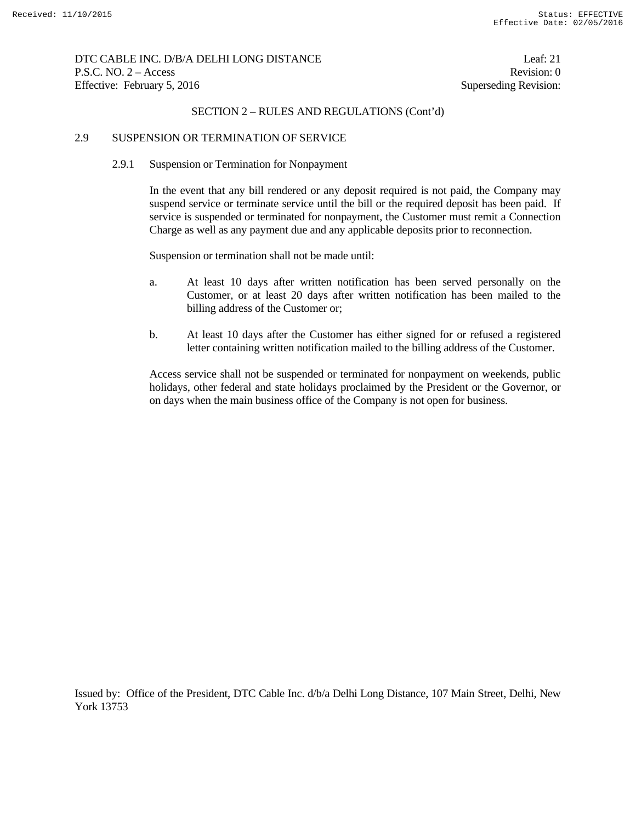## DTC CABLE INC. D/B/A DELHI LONG DISTANCE Leaf: 21 P.S.C. NO. 2 – Access Revision: 0 Effective: February 5, 2016 Superseding Revision:

## SECTION 2 – RULES AND REGULATIONS (Cont'd)

### 2.9 SUSPENSION OR TERMINATION OF SERVICE

### 2.9.1 Suspension or Termination for Nonpayment

 In the event that any bill rendered or any deposit required is not paid, the Company may suspend service or terminate service until the bill or the required deposit has been paid. If service is suspended or terminated for nonpayment, the Customer must remit a Connection Charge as well as any payment due and any applicable deposits prior to reconnection.

Suspension or termination shall not be made until:

- a. At least 10 days after written notification has been served personally on the Customer, or at least 20 days after written notification has been mailed to the billing address of the Customer or;
- b. At least 10 days after the Customer has either signed for or refused a registered letter containing written notification mailed to the billing address of the Customer.

 Access service shall not be suspended or terminated for nonpayment on weekends, public holidays, other federal and state holidays proclaimed by the President or the Governor, or on days when the main business office of the Company is not open for business.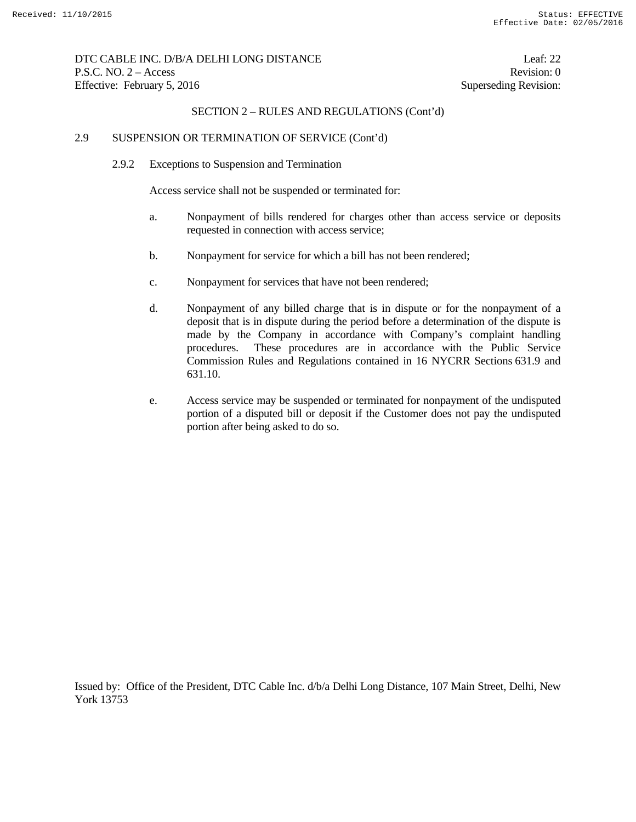# DTC CABLE INC. D/B/A DELHI LONG DISTANCE Leaf: 22 P.S.C. NO. 2 – Access Revision: 0 Effective: February 5, 2016 Superseding Revision:

## SECTION 2 – RULES AND REGULATIONS (Cont'd)

### 2.9 SUSPENSION OR TERMINATION OF SERVICE (Cont'd)

2.9.2 Exceptions to Suspension and Termination

Access service shall not be suspended or terminated for:

- a. Nonpayment of bills rendered for charges other than access service or deposits requested in connection with access service;
- b. Nonpayment for service for which a bill has not been rendered;
- c. Nonpayment for services that have not been rendered;
- d. Nonpayment of any billed charge that is in dispute or for the nonpayment of a deposit that is in dispute during the period before a determination of the dispute is made by the Company in accordance with Company's complaint handling procedures. These procedures are in accordance with the Public Service Commission Rules and Regulations contained in 16 NYCRR Sections 631.9 and 631.10.
- e. Access service may be suspended or terminated for nonpayment of the undisputed portion of a disputed bill or deposit if the Customer does not pay the undisputed portion after being asked to do so.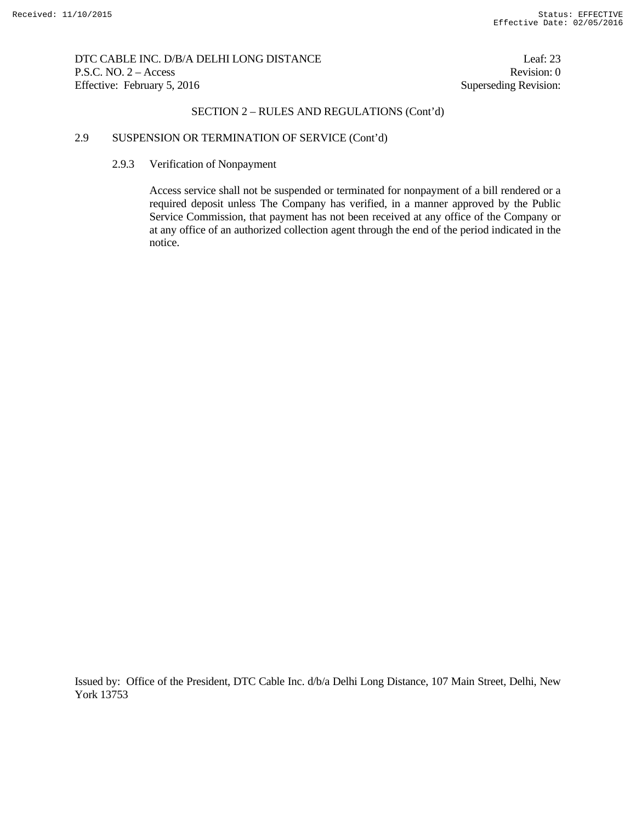DTC CABLE INC. D/B/A DELHI LONG DISTANCE Leaf: 23 P.S.C. NO. 2 – Access Revision: 0 Effective: February 5, 2016 Superseding Revision:

## SECTION 2 – RULES AND REGULATIONS (Cont'd)

# 2.9 SUSPENSION OR TERMINATION OF SERVICE (Cont'd)

#### 2.9.3 Verification of Nonpayment

 Access service shall not be suspended or terminated for nonpayment of a bill rendered or a required deposit unless The Company has verified, in a manner approved by the Public Service Commission, that payment has not been received at any office of the Company or at any office of an authorized collection agent through the end of the period indicated in the notice.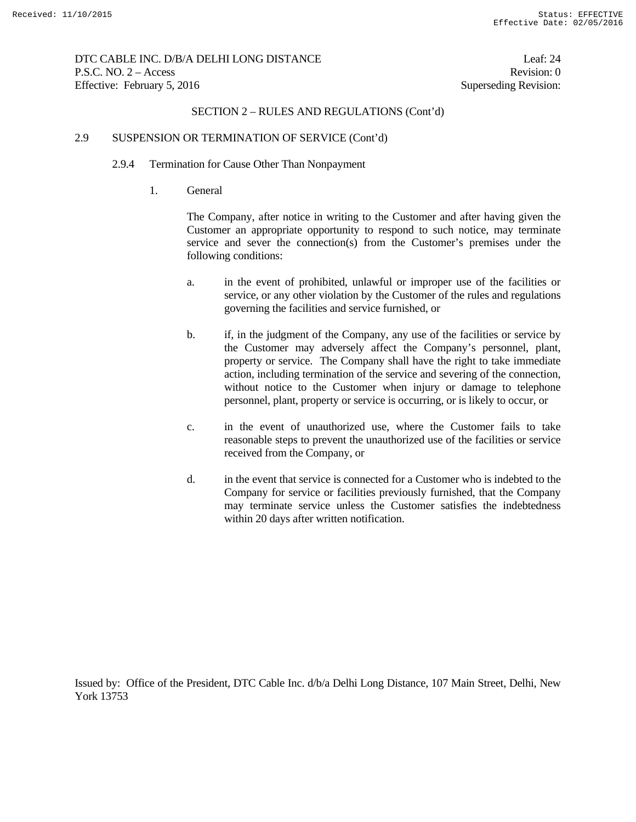DTC CABLE INC. D/B/A DELHI LONG DISTANCE Leaf: 24 P.S.C. NO. 2 – Access Revision: 0 Effective: February 5, 2016 Superseding Revision:

## SECTION 2 – RULES AND REGULATIONS (Cont'd)

### 2.9 SUSPENSION OR TERMINATION OF SERVICE (Cont'd)

#### 2.9.4 Termination for Cause Other Than Nonpayment

1. General

 The Company, after notice in writing to the Customer and after having given the Customer an appropriate opportunity to respond to such notice, may terminate service and sever the connection(s) from the Customer's premises under the following conditions:

- a. in the event of prohibited, unlawful or improper use of the facilities or service, or any other violation by the Customer of the rules and regulations governing the facilities and service furnished, or
- b. if, in the judgment of the Company, any use of the facilities or service by the Customer may adversely affect the Company's personnel, plant, property or service. The Company shall have the right to take immediate action, including termination of the service and severing of the connection, without notice to the Customer when injury or damage to telephone personnel, plant, property or service is occurring, or is likely to occur, or
- c. in the event of unauthorized use, where the Customer fails to take reasonable steps to prevent the unauthorized use of the facilities or service received from the Company, or
- d. in the event that service is connected for a Customer who is indebted to the Company for service or facilities previously furnished, that the Company may terminate service unless the Customer satisfies the indebtedness within 20 days after written notification.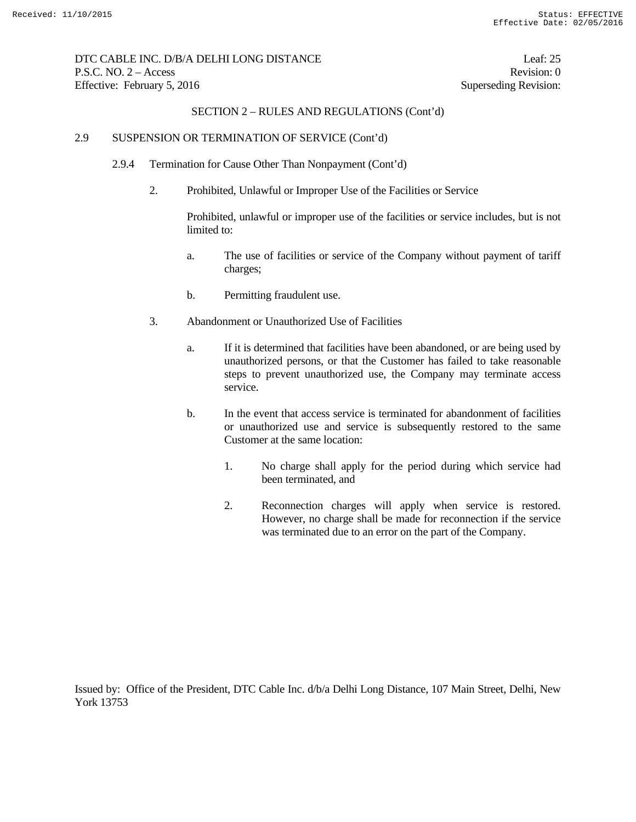# DTC CABLE INC. D/B/A DELHI LONG DISTANCE Leaf: 25 P.S.C. NO. 2 – Access Revision: 0 Effective: February 5, 2016 Superseding Revision:

## SECTION 2 – RULES AND REGULATIONS (Cont'd)

### 2.9 SUSPENSION OR TERMINATION OF SERVICE (Cont'd)

- 2.9.4 Termination for Cause Other Than Nonpayment (Cont'd)
	- 2. Prohibited, Unlawful or Improper Use of the Facilities or Service

 Prohibited, unlawful or improper use of the facilities or service includes, but is not limited to:

- a. The use of facilities or service of the Company without payment of tariff charges;
- b. Permitting fraudulent use.
- 3. Abandonment or Unauthorized Use of Facilities
	- a. If it is determined that facilities have been abandoned, or are being used by unauthorized persons, or that the Customer has failed to take reasonable steps to prevent unauthorized use, the Company may terminate access service.
	- b. In the event that access service is terminated for abandonment of facilities or unauthorized use and service is subsequently restored to the same Customer at the same location:
		- 1. No charge shall apply for the period during which service had been terminated, and
		- 2. Reconnection charges will apply when service is restored. However, no charge shall be made for reconnection if the service was terminated due to an error on the part of the Company.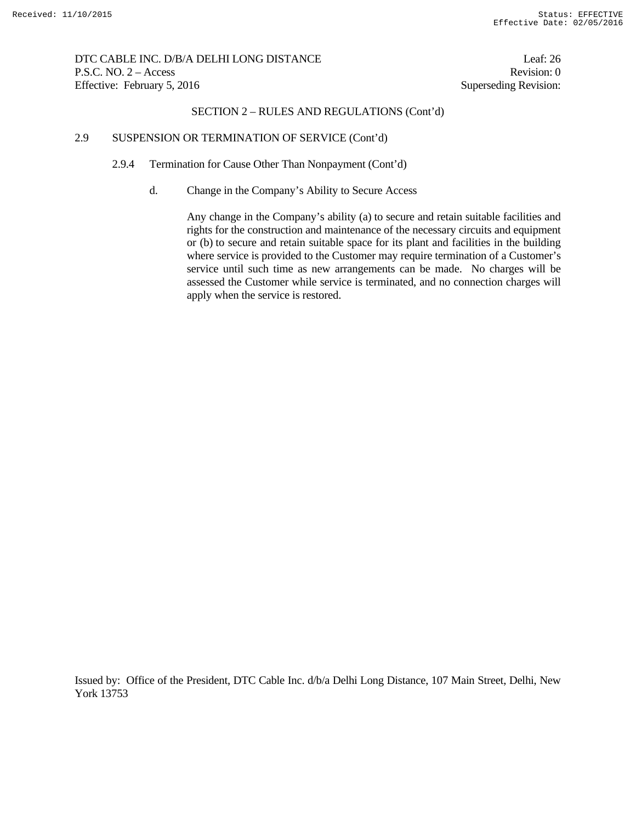DTC CABLE INC. D/B/A DELHI LONG DISTANCE Leaf: 26 P.S.C. NO. 2 – Access Revision: 0 Effective: February 5, 2016 Superseding Revision:

## SECTION 2 – RULES AND REGULATIONS (Cont'd)

### 2.9 SUSPENSION OR TERMINATION OF SERVICE (Cont'd)

2.9.4 Termination for Cause Other Than Nonpayment (Cont'd)

d. Change in the Company's Ability to Secure Access

Any change in the Company's ability (a) to secure and retain suitable facilities and rights for the construction and maintenance of the necessary circuits and equipment or (b) to secure and retain suitable space for its plant and facilities in the building where service is provided to the Customer may require termination of a Customer's service until such time as new arrangements can be made. No charges will be assessed the Customer while service is terminated, and no connection charges will apply when the service is restored.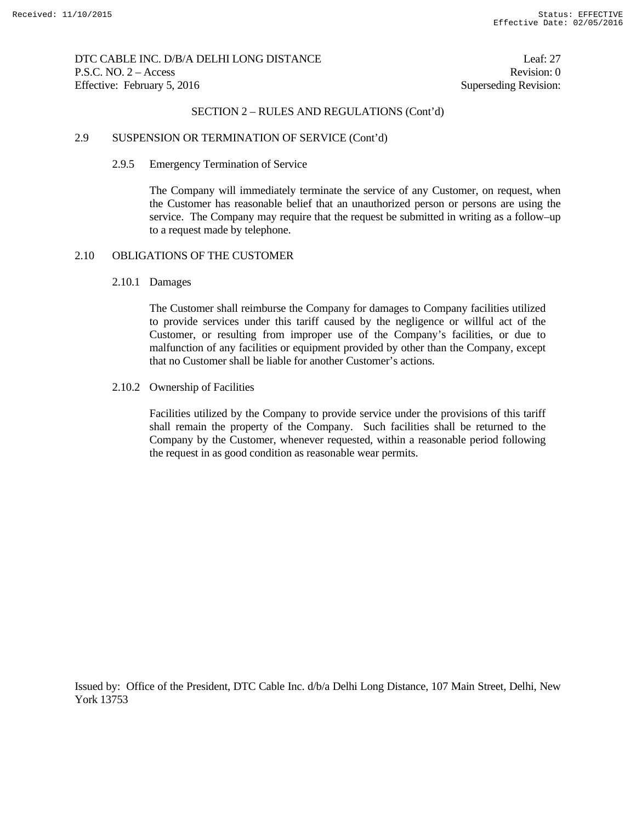## DTC CABLE INC. D/B/A DELHI LONG DISTANCE Leaf: 27 P.S.C. NO. 2 – Access Revision: 0 Effective: February 5, 2016 Superseding Revision:

### SECTION 2 – RULES AND REGULATIONS (Cont'd)

### 2.9 SUSPENSION OR TERMINATION OF SERVICE (Cont'd)

#### 2.9.5 Emergency Termination of Service

 The Company will immediately terminate the service of any Customer, on request, when the Customer has reasonable belief that an unauthorized person or persons are using the service. The Company may require that the request be submitted in writing as a follow–up to a request made by telephone.

## 2.10 OBLIGATIONS OF THE CUSTOMER

#### 2.10.1 Damages

 The Customer shall reimburse the Company for damages to Company facilities utilized to provide services under this tariff caused by the negligence or willful act of the Customer, or resulting from improper use of the Company's facilities, or due to malfunction of any facilities or equipment provided by other than the Company, except that no Customer shall be liable for another Customer's actions.

#### 2.10.2 Ownership of Facilities

 Facilities utilized by the Company to provide service under the provisions of this tariff shall remain the property of the Company. Such facilities shall be returned to the Company by the Customer, whenever requested, within a reasonable period following the request in as good condition as reasonable wear permits.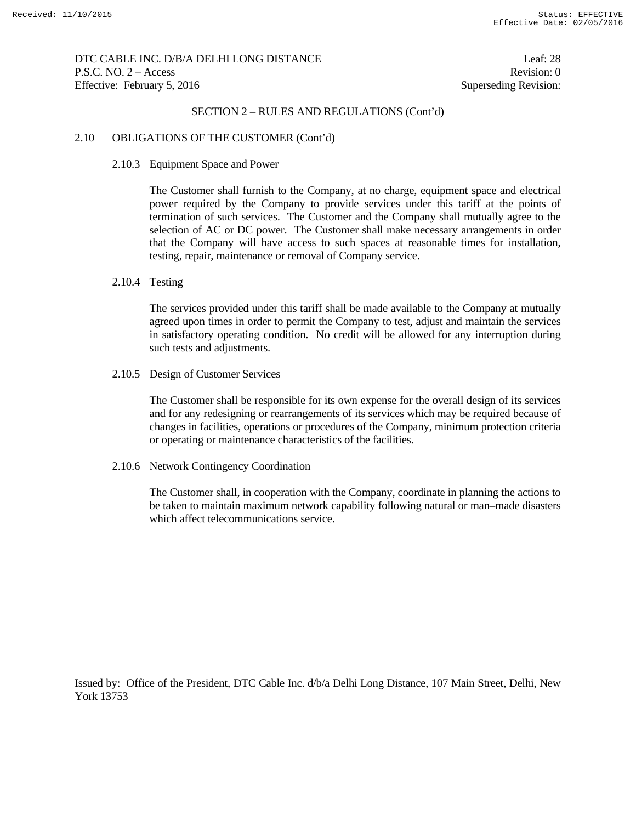## DTC CABLE INC. D/B/A DELHI LONG DISTANCE Leaf: 28 P.S.C. NO. 2 – Access Revision: 0 Effective: February 5, 2016 Superseding Revision:

## SECTION 2 – RULES AND REGULATIONS (Cont'd)

#### 2.10 OBLIGATIONS OF THE CUSTOMER (Cont'd)

#### 2.10.3 Equipment Space and Power

 The Customer shall furnish to the Company, at no charge, equipment space and electrical power required by the Company to provide services under this tariff at the points of termination of such services. The Customer and the Company shall mutually agree to the selection of AC or DC power. The Customer shall make necessary arrangements in order that the Company will have access to such spaces at reasonable times for installation, testing, repair, maintenance or removal of Company service.

#### 2.10.4 Testing

 The services provided under this tariff shall be made available to the Company at mutually agreed upon times in order to permit the Company to test, adjust and maintain the services in satisfactory operating condition. No credit will be allowed for any interruption during such tests and adjustments.

2.10.5 Design of Customer Services

 The Customer shall be responsible for its own expense for the overall design of its services and for any redesigning or rearrangements of its services which may be required because of changes in facilities, operations or procedures of the Company, minimum protection criteria or operating or maintenance characteristics of the facilities.

2.10.6 Network Contingency Coordination

 The Customer shall, in cooperation with the Company, coordinate in planning the actions to be taken to maintain maximum network capability following natural or man–made disasters which affect telecommunications service.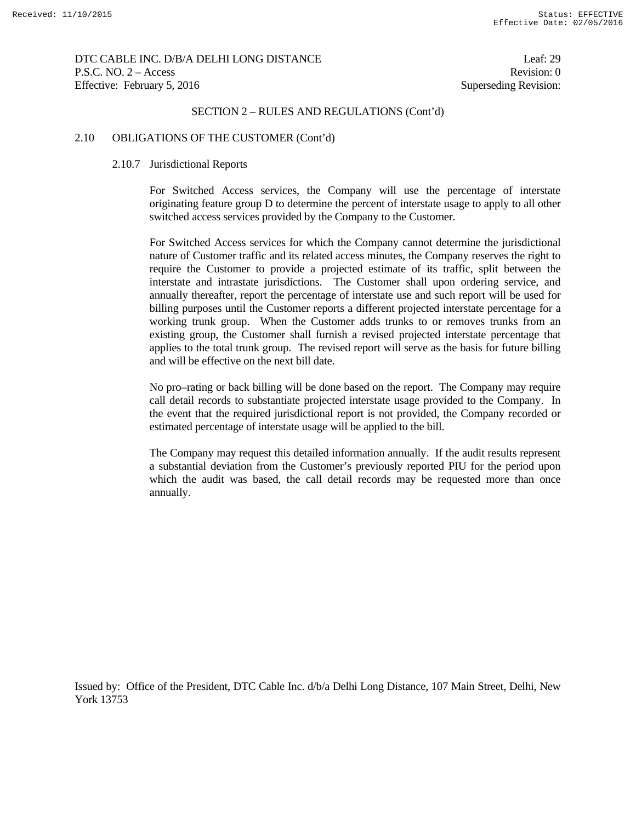DTC CABLE INC. D/B/A DELHI LONG DISTANCE Leaf: 29 P.S.C. NO. 2 – Access Revision: 0 Effective: February 5, 2016 Superseding Revision:

#### SECTION 2 – RULES AND REGULATIONS (Cont'd)

#### 2.10 OBLIGATIONS OF THE CUSTOMER (Cont'd)

#### 2.10.7 Jurisdictional Reports

 For Switched Access services, the Company will use the percentage of interstate originating feature group D to determine the percent of interstate usage to apply to all other switched access services provided by the Company to the Customer.

 For Switched Access services for which the Company cannot determine the jurisdictional nature of Customer traffic and its related access minutes, the Company reserves the right to require the Customer to provide a projected estimate of its traffic, split between the interstate and intrastate jurisdictions. The Customer shall upon ordering service, and annually thereafter, report the percentage of interstate use and such report will be used for billing purposes until the Customer reports a different projected interstate percentage for a working trunk group. When the Customer adds trunks to or removes trunks from an existing group, the Customer shall furnish a revised projected interstate percentage that applies to the total trunk group. The revised report will serve as the basis for future billing and will be effective on the next bill date.

 No pro–rating or back billing will be done based on the report. The Company may require call detail records to substantiate projected interstate usage provided to the Company. In the event that the required jurisdictional report is not provided, the Company recorded or estimated percentage of interstate usage will be applied to the bill.

 The Company may request this detailed information annually. If the audit results represent a substantial deviation from the Customer's previously reported PIU for the period upon which the audit was based, the call detail records may be requested more than once annually.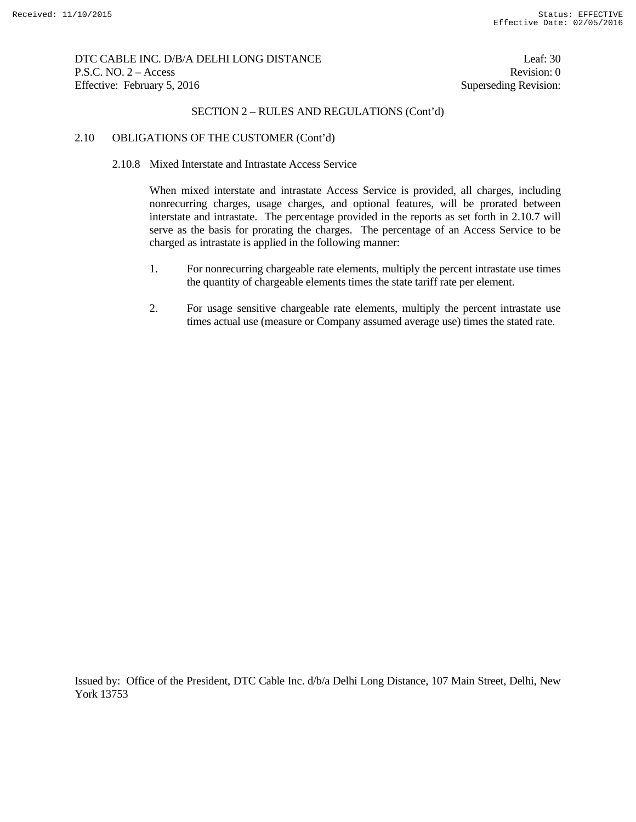## DTC CABLE INC. D/B/A DELHI LONG DISTANCE Leaf: 30 P.S.C. NO. 2 – Access Revision: 0 Effective: February 5, 2016 Superseding Revision:

# SECTION 2 – RULES AND REGULATIONS (Cont'd)

### 2.10 OBLIGATIONS OF THE CUSTOMER (Cont'd)

### 2.10.8 Mixed Interstate and Intrastate Access Service

 When mixed interstate and intrastate Access Service is provided, all charges, including nonrecurring charges, usage charges, and optional features, will be prorated between interstate and intrastate. The percentage provided in the reports as set forth in 2.10.7 will serve as the basis for prorating the charges. The percentage of an Access Service to be charged as intrastate is applied in the following manner:

- 1. For nonrecurring chargeable rate elements, multiply the percent intrastate use times the quantity of chargeable elements times the state tariff rate per element.
- 2. For usage sensitive chargeable rate elements, multiply the percent intrastate use times actual use (measure or Company assumed average use) times the stated rate.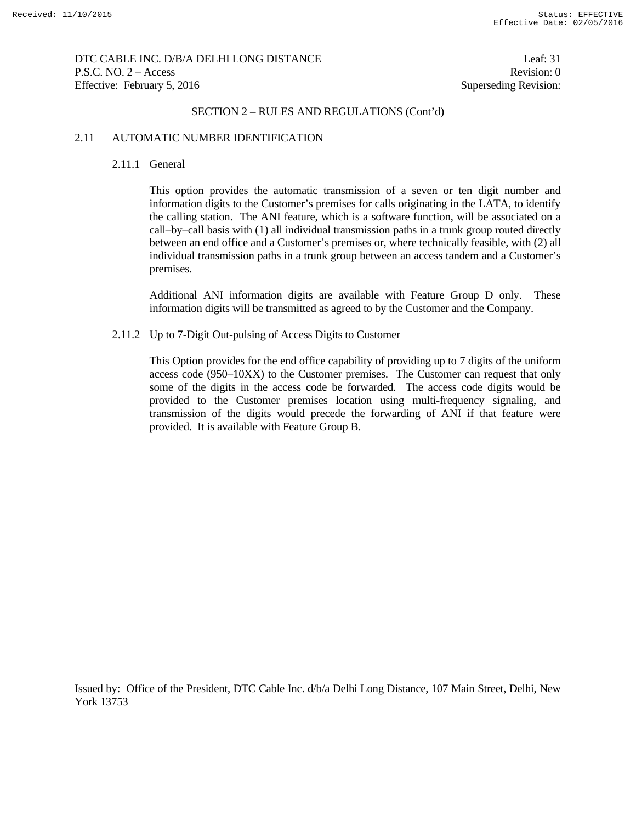DTC CABLE INC. D/B/A DELHI LONG DISTANCE Leaf: 31 P.S.C. NO. 2 – Access Revision: 0 Effective: February 5, 2016 Superseding Revision:

#### SECTION 2 – RULES AND REGULATIONS (Cont'd)

#### 2.11 AUTOMATIC NUMBER IDENTIFICATION

#### 2.11.1 General

 This option provides the automatic transmission of a seven or ten digit number and information digits to the Customer's premises for calls originating in the LATA, to identify the calling station. The ANI feature, which is a software function, will be associated on a call–by–call basis with (1) all individual transmission paths in a trunk group routed directly between an end office and a Customer's premises or, where technically feasible, with (2) all individual transmission paths in a trunk group between an access tandem and a Customer's premises.

 Additional ANI information digits are available with Feature Group D only. These information digits will be transmitted as agreed to by the Customer and the Company.

#### 2.11.2 Up to 7-Digit Out-pulsing of Access Digits to Customer

 This Option provides for the end office capability of providing up to 7 digits of the uniform access code (950–10XX) to the Customer premises. The Customer can request that only some of the digits in the access code be forwarded. The access code digits would be provided to the Customer premises location using multi-frequency signaling, and transmission of the digits would precede the forwarding of ANI if that feature were provided. It is available with Feature Group B.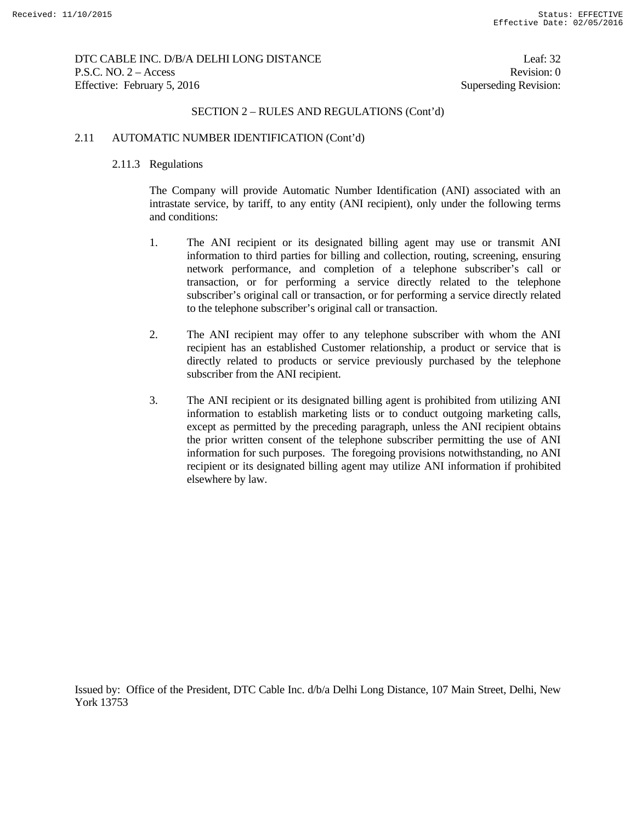DTC CABLE INC. D/B/A DELHI LONG DISTANCE Leaf: 32 P.S.C. NO. 2 – Access Revision: 0 Effective: February 5, 2016 Superseding Revision:

### SECTION 2 – RULES AND REGULATIONS (Cont'd)

#### 2.11 AUTOMATIC NUMBER IDENTIFICATION (Cont'd)

#### 2.11.3 Regulations

 The Company will provide Automatic Number Identification (ANI) associated with an intrastate service, by tariff, to any entity (ANI recipient), only under the following terms and conditions:

- 1. The ANI recipient or its designated billing agent may use or transmit ANI information to third parties for billing and collection, routing, screening, ensuring network performance, and completion of a telephone subscriber's call or transaction, or for performing a service directly related to the telephone subscriber's original call or transaction, or for performing a service directly related to the telephone subscriber's original call or transaction.
- 2. The ANI recipient may offer to any telephone subscriber with whom the ANI recipient has an established Customer relationship, a product or service that is directly related to products or service previously purchased by the telephone subscriber from the ANI recipient.
- 3. The ANI recipient or its designated billing agent is prohibited from utilizing ANI information to establish marketing lists or to conduct outgoing marketing calls, except as permitted by the preceding paragraph, unless the ANI recipient obtains the prior written consent of the telephone subscriber permitting the use of ANI information for such purposes. The foregoing provisions notwithstanding, no ANI recipient or its designated billing agent may utilize ANI information if prohibited elsewhere by law.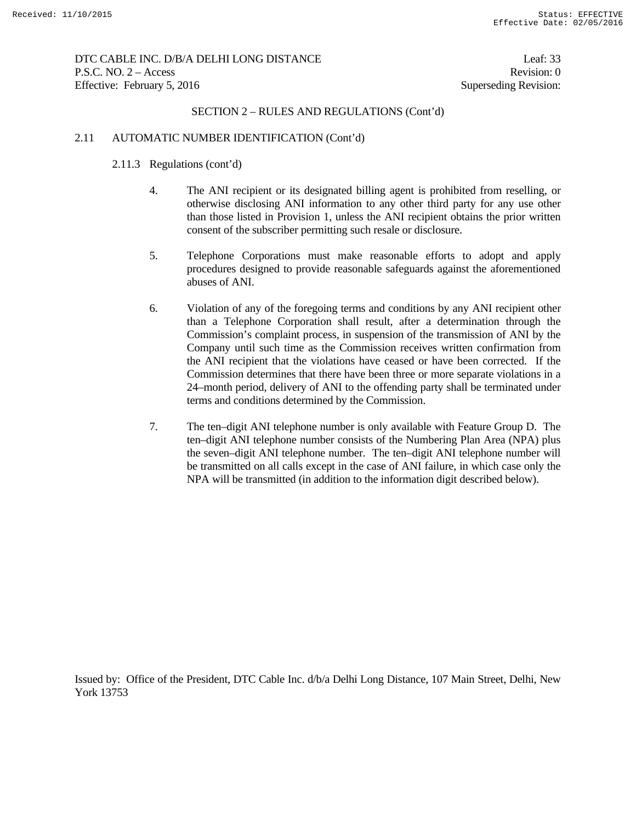DTC CABLE INC. D/B/A DELHI LONG DISTANCE Leaf: 33 P.S.C. NO. 2 – Access Revision: 0 Effective: February 5, 2016 Superseding Revision:

## SECTION 2 – RULES AND REGULATIONS (Cont'd)

### 2.11 AUTOMATIC NUMBER IDENTIFICATION (Cont'd)

- 2.11.3 Regulations (cont'd)
	- 4. The ANI recipient or its designated billing agent is prohibited from reselling, or otherwise disclosing ANI information to any other third party for any use other than those listed in Provision 1, unless the ANI recipient obtains the prior written consent of the subscriber permitting such resale or disclosure.
	- 5. Telephone Corporations must make reasonable efforts to adopt and apply procedures designed to provide reasonable safeguards against the aforementioned abuses of ANI.
	- 6. Violation of any of the foregoing terms and conditions by any ANI recipient other than a Telephone Corporation shall result, after a determination through the Commission's complaint process, in suspension of the transmission of ANI by the Company until such time as the Commission receives written confirmation from the ANI recipient that the violations have ceased or have been corrected. If the Commission determines that there have been three or more separate violations in a 24–month period, delivery of ANI to the offending party shall be terminated under terms and conditions determined by the Commission.
	- 7. The ten–digit ANI telephone number is only available with Feature Group D. The ten–digit ANI telephone number consists of the Numbering Plan Area (NPA) plus the seven–digit ANI telephone number. The ten–digit ANI telephone number will be transmitted on all calls except in the case of ANI failure, in which case only the NPA will be transmitted (in addition to the information digit described below).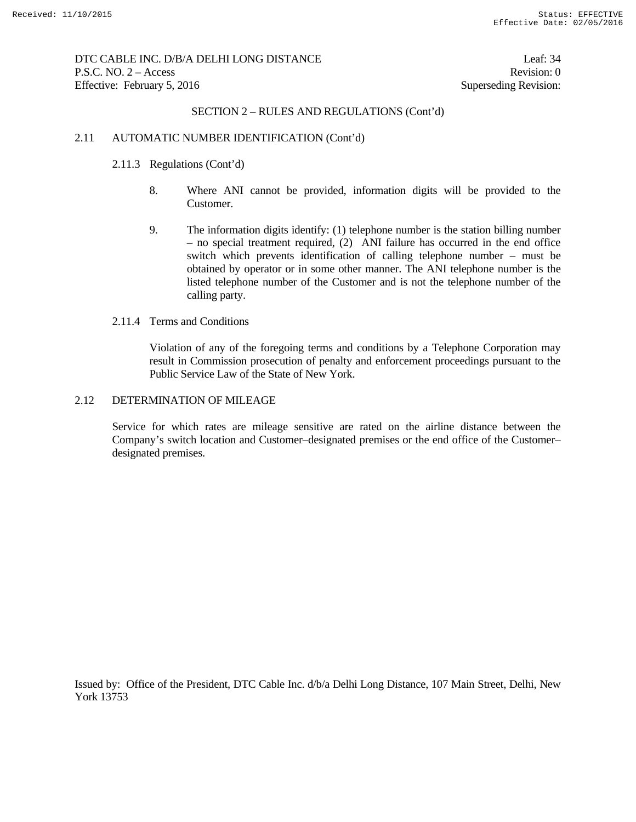DTC CABLE INC. D/B/A DELHI LONG DISTANCE Leaf: 34 P.S.C. NO. 2 – Access Revision: 0 Effective: February 5, 2016 Superseding Revision:

### SECTION 2 – RULES AND REGULATIONS (Cont'd)

#### 2.11 AUTOMATIC NUMBER IDENTIFICATION (Cont'd)

- 2.11.3 Regulations (Cont'd)
	- 8. Where ANI cannot be provided, information digits will be provided to the Customer.
	- 9. The information digits identify: (1) telephone number is the station billing number – no special treatment required, (2) ANI failure has occurred in the end office switch which prevents identification of calling telephone number – must be obtained by operator or in some other manner. The ANI telephone number is the listed telephone number of the Customer and is not the telephone number of the calling party.

### 2.11.4 Terms and Conditions

 Violation of any of the foregoing terms and conditions by a Telephone Corporation may result in Commission prosecution of penalty and enforcement proceedings pursuant to the Public Service Law of the State of New York.

### 2.12 DETERMINATION OF MILEAGE

 Service for which rates are mileage sensitive are rated on the airline distance between the Company's switch location and Customer–designated premises or the end office of the Customer– designated premises.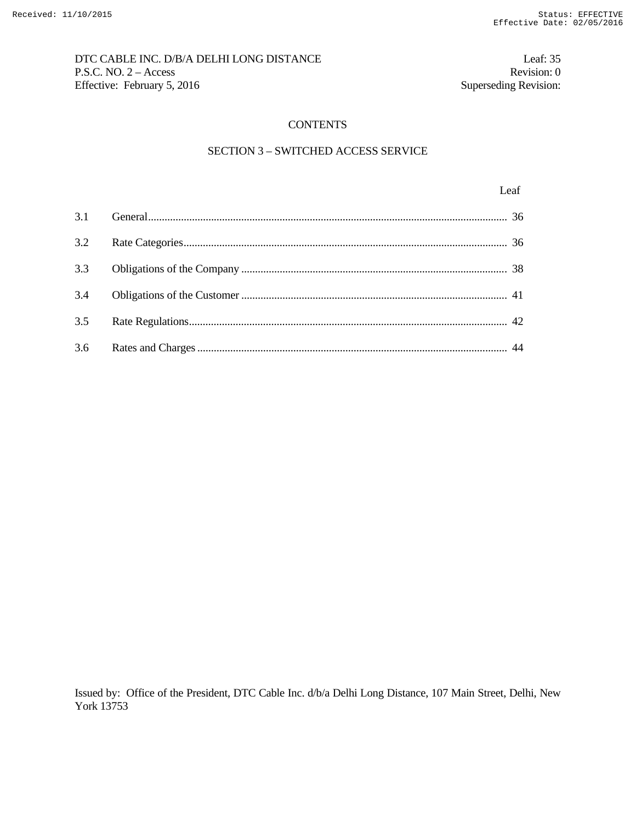# DTC CABLE INC. D/B/A DELHI LONG DISTANCE Leaf: 35 P.S.C. NO. 2 – Access Revision: 0<br>Effective: February 5, 2016 Superseding Revision: 0 Effective: February 5, 2016

## **CONTENTS**

## SECTION 3 – SWITCHED ACCESS SERVICE

## Leaf broad and the set of the set of the set of the set of the set of the set of the set of the set of the set of the set of the set of the set of the set of the set of the set of the set of the set of the set of the set o

| 3.4 |  |
|-----|--|
|     |  |
|     |  |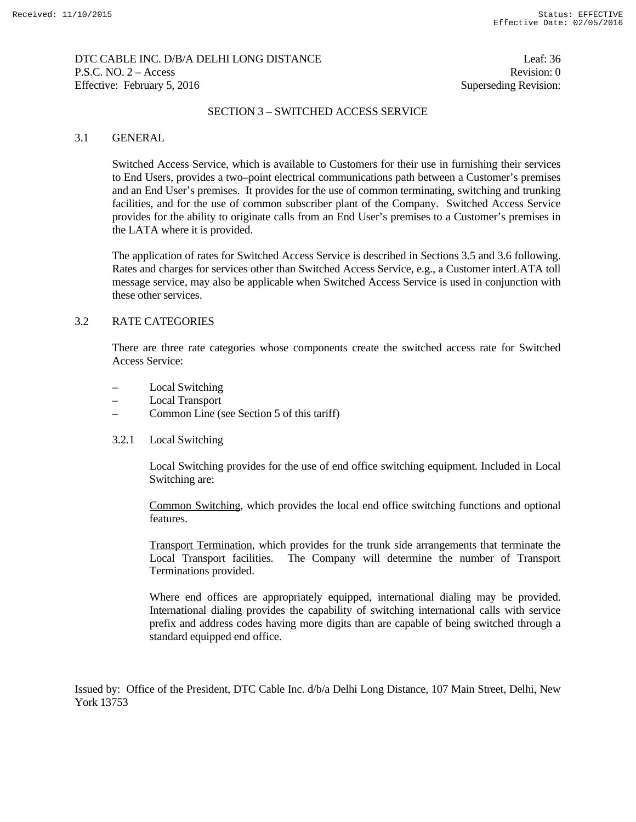## DTC CABLE INC. D/B/A DELHI LONG DISTANCE Leaf: 36 P.S.C. NO. 2 – Access Revision: 0 Effective: February 5, 2016 Superseding Revision:

## SECTION 3 – SWITCHED ACCESS SERVICE

### 3.1 GENERAL

 Switched Access Service, which is available to Customers for their use in furnishing their services to End Users, provides a two–point electrical communications path between a Customer's premises and an End User's premises. It provides for the use of common terminating, switching and trunking facilities, and for the use of common subscriber plant of the Company. Switched Access Service provides for the ability to originate calls from an End User's premises to a Customer's premises in the LATA where it is provided.

 The application of rates for Switched Access Service is described in Sections 3.5 and 3.6 following. Rates and charges for services other than Switched Access Service, e.g., a Customer interLATA toll message service, may also be applicable when Switched Access Service is used in conjunction with these other services.

## 3.2 RATE CATEGORIES

 There are three rate categories whose components create the switched access rate for Switched Access Service:

- Local Switching
- Local Transport
- Common Line (see Section 5 of this tariff)
- 3.2.1 Local Switching

 Local Switching provides for the use of end office switching equipment. Included in Local Switching are:

 Common Switching, which provides the local end office switching functions and optional features.

 Transport Termination, which provides for the trunk side arrangements that terminate the Local Transport facilities. The Company will determine the number of Transport Terminations provided.

 Where end offices are appropriately equipped, international dialing may be provided. International dialing provides the capability of switching international calls with service prefix and address codes having more digits than are capable of being switched through a standard equipped end office.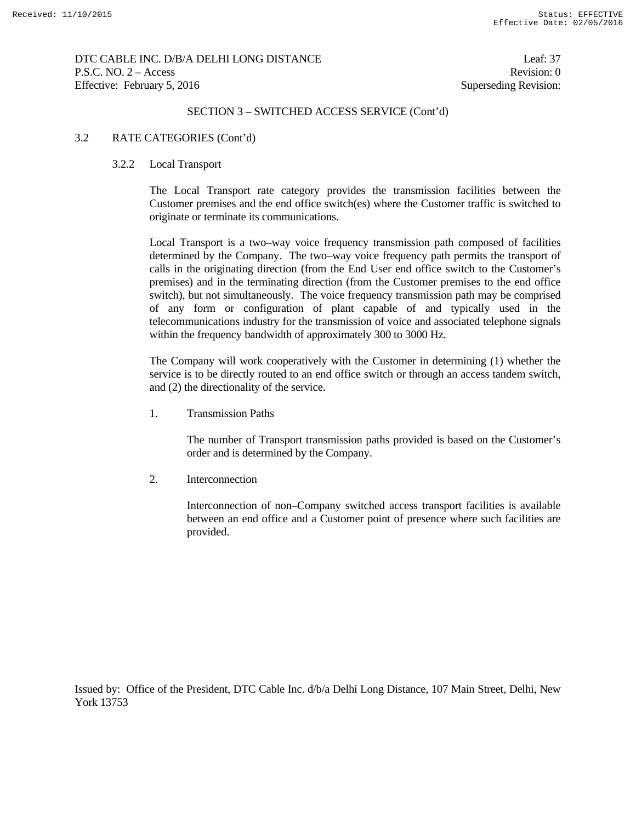DTC CABLE INC. D/B/A DELHI LONG DISTANCE Leaf: 37 P.S.C. NO. 2 – Access Revision: 0 Effective: February 5, 2016 Superseding Revision:

### SECTION 3 – SWITCHED ACCESS SERVICE (Cont'd)

### 3.2 RATE CATEGORIES (Cont'd)

### 3.2.2 Local Transport

 The Local Transport rate category provides the transmission facilities between the Customer premises and the end office switch(es) where the Customer traffic is switched to originate or terminate its communications.

 Local Transport is a two–way voice frequency transmission path composed of facilities determined by the Company. The two–way voice frequency path permits the transport of calls in the originating direction (from the End User end office switch to the Customer's premises) and in the terminating direction (from the Customer premises to the end office switch), but not simultaneously. The voice frequency transmission path may be comprised of any form or configuration of plant capable of and typically used in the telecommunications industry for the transmission of voice and associated telephone signals within the frequency bandwidth of approximately 300 to 3000 Hz.

 The Company will work cooperatively with the Customer in determining (1) whether the service is to be directly routed to an end office switch or through an access tandem switch, and (2) the directionality of the service.

1. Transmission Paths

 The number of Transport transmission paths provided is based on the Customer's order and is determined by the Company.

2. Interconnection

 Interconnection of non–Company switched access transport facilities is available between an end office and a Customer point of presence where such facilities are provided.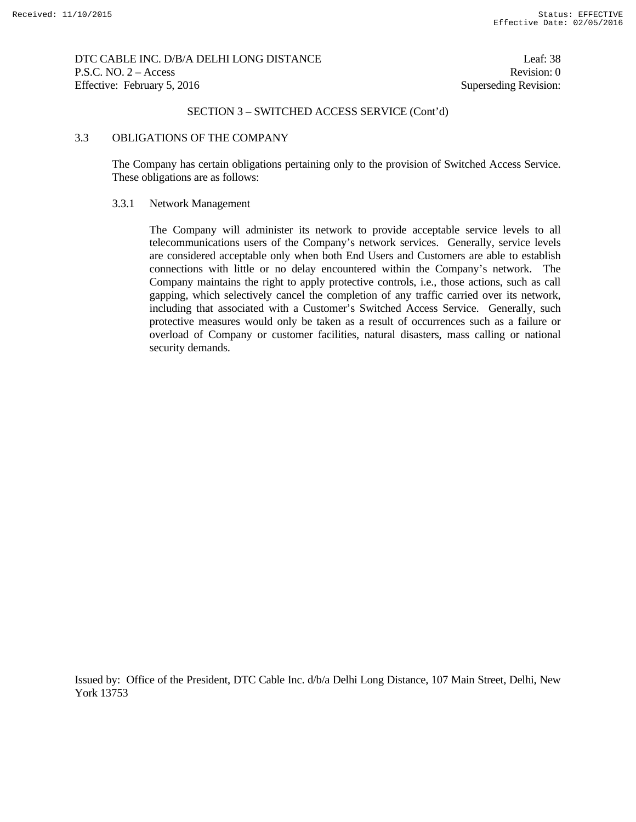DTC CABLE INC. D/B/A DELHI LONG DISTANCE Leaf: 38 P.S.C. NO. 2 – Access Revision: 0 Effective: February 5, 2016 Superseding Revision:

## SECTION 3 – SWITCHED ACCESS SERVICE (Cont'd)

### 3.3 OBLIGATIONS OF THE COMPANY

 The Company has certain obligations pertaining only to the provision of Switched Access Service. These obligations are as follows:

#### 3.3.1 Network Management

 The Company will administer its network to provide acceptable service levels to all telecommunications users of the Company's network services. Generally, service levels are considered acceptable only when both End Users and Customers are able to establish connections with little or no delay encountered within the Company's network. The Company maintains the right to apply protective controls, i.e., those actions, such as call gapping, which selectively cancel the completion of any traffic carried over its network, including that associated with a Customer's Switched Access Service. Generally, such protective measures would only be taken as a result of occurrences such as a failure or overload of Company or customer facilities, natural disasters, mass calling or national security demands.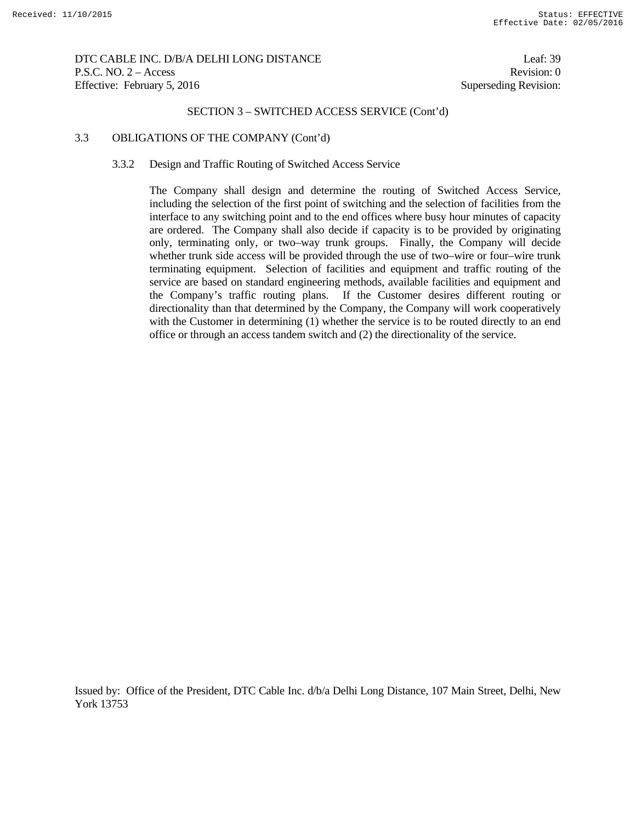DTC CABLE INC. D/B/A DELHI LONG DISTANCE Leaf: 39 P.S.C. NO. 2 – Access Revision: 0 Effective: February 5, 2016 Superseding Revision:

# SECTION 3 – SWITCHED ACCESS SERVICE (Cont'd)

### 3.3 OBLIGATIONS OF THE COMPANY (Cont'd)

#### 3.3.2 Design and Traffic Routing of Switched Access Service

 The Company shall design and determine the routing of Switched Access Service, including the selection of the first point of switching and the selection of facilities from the interface to any switching point and to the end offices where busy hour minutes of capacity are ordered. The Company shall also decide if capacity is to be provided by originating only, terminating only, or two–way trunk groups. Finally, the Company will decide whether trunk side access will be provided through the use of two–wire or four–wire trunk terminating equipment. Selection of facilities and equipment and traffic routing of the service are based on standard engineering methods, available facilities and equipment and the Company's traffic routing plans. If the Customer desires different routing or directionality than that determined by the Company, the Company will work cooperatively with the Customer in determining (1) whether the service is to be routed directly to an end office or through an access tandem switch and (2) the directionality of the service.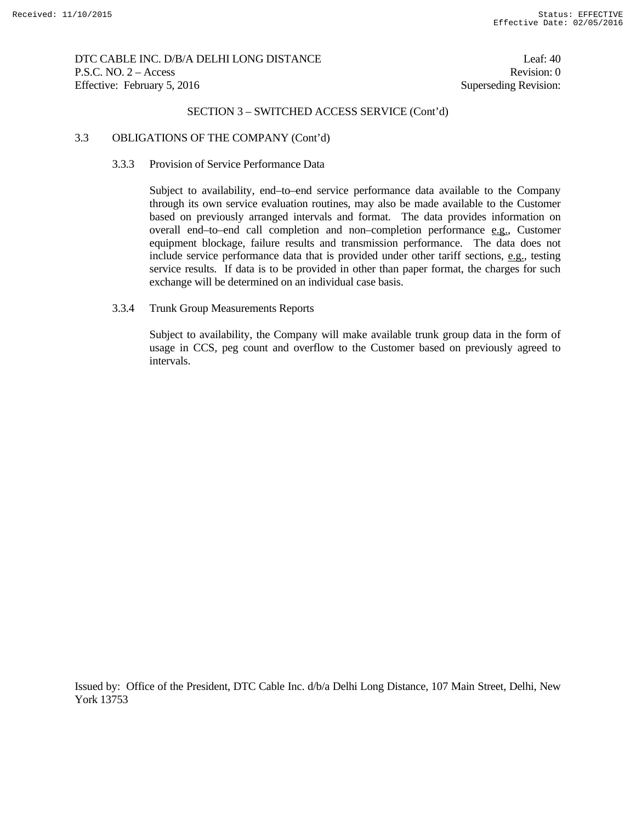DTC CABLE INC. D/B/A DELHI LONG DISTANCE Leaf: 40 P.S.C. NO. 2 – Access Revision: 0 Effective: February 5, 2016 Superseding Revision:

#### SECTION 3 – SWITCHED ACCESS SERVICE (Cont'd)

#### 3.3 OBLIGATIONS OF THE COMPANY (Cont'd)

#### 3.3.3 Provision of Service Performance Data

 Subject to availability, end–to–end service performance data available to the Company through its own service evaluation routines, may also be made available to the Customer based on previously arranged intervals and format. The data provides information on overall end–to–end call completion and non–completion performance e.g., Customer equipment blockage, failure results and transmission performance. The data does not include service performance data that is provided under other tariff sections, e.g., testing service results. If data is to be provided in other than paper format, the charges for such exchange will be determined on an individual case basis.

### 3.3.4 Trunk Group Measurements Reports

 Subject to availability, the Company will make available trunk group data in the form of usage in CCS, peg count and overflow to the Customer based on previously agreed to intervals.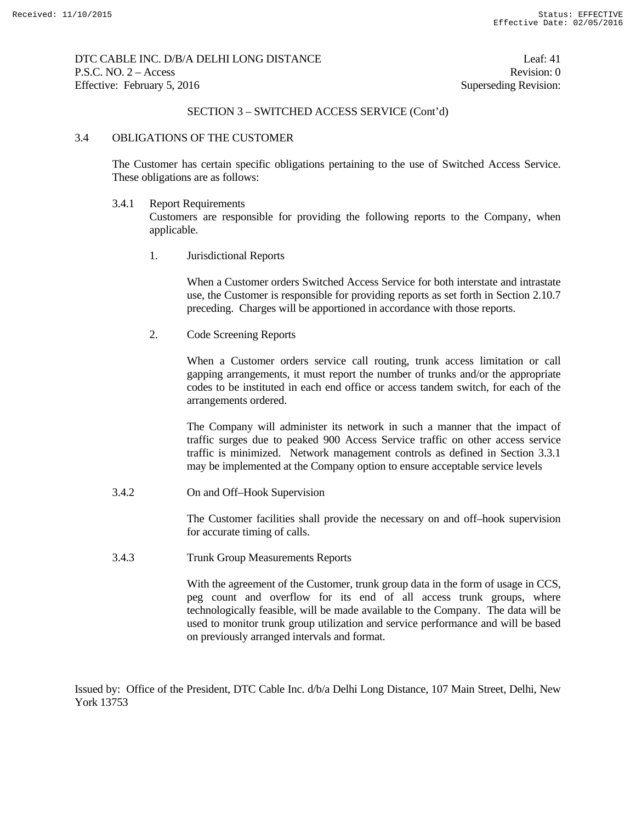DTC CABLE INC. D/B/A DELHI LONG DISTANCE Leaf: 41 P.S.C. NO. 2 – Access Revision: 0 Effective: February 5, 2016 Superseding Revision:

### SECTION 3 – SWITCHED ACCESS SERVICE (Cont'd)

### 3.4 OBLIGATIONS OF THE CUSTOMER

 The Customer has certain specific obligations pertaining to the use of Switched Access Service. These obligations are as follows:

3.4.1 Report Requirements

 Customers are responsible for providing the following reports to the Company, when applicable.

1. Jurisdictional Reports

 When a Customer orders Switched Access Service for both interstate and intrastate use, the Customer is responsible for providing reports as set forth in Section 2.10.7 preceding. Charges will be apportioned in accordance with those reports.

2. Code Screening Reports

 When a Customer orders service call routing, trunk access limitation or call gapping arrangements, it must report the number of trunks and/or the appropriate codes to be instituted in each end office or access tandem switch, for each of the arrangements ordered.

 The Company will administer its network in such a manner that the impact of traffic surges due to peaked 900 Access Service traffic on other access service traffic is minimized. Network management controls as defined in Section 3.3.1 may be implemented at the Company option to ensure acceptable service levels

3.4.2 On and Off–Hook Supervision

 The Customer facilities shall provide the necessary on and off–hook supervision for accurate timing of calls.

3.4.3 Trunk Group Measurements Reports

 With the agreement of the Customer, trunk group data in the form of usage in CCS, peg count and overflow for its end of all access trunk groups, where technologically feasible, will be made available to the Company. The data will be used to monitor trunk group utilization and service performance and will be based on previously arranged intervals and format.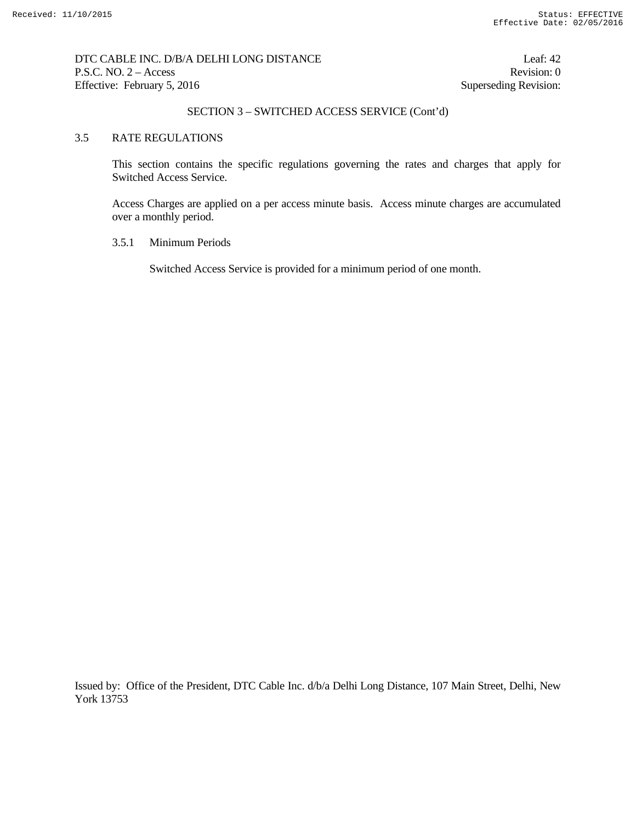DTC CABLE INC. D/B/A DELHI LONG DISTANCE Leaf: 42 P.S.C. NO. 2 – Access Revision: 0 Effective: February 5, 2016 Superseding Revision:

## SECTION 3 – SWITCHED ACCESS SERVICE (Cont'd)

## 3.5 RATE REGULATIONS

 This section contains the specific regulations governing the rates and charges that apply for Switched Access Service.

 Access Charges are applied on a per access minute basis. Access minute charges are accumulated over a monthly period.

### 3.5.1 Minimum Periods

Switched Access Service is provided for a minimum period of one month.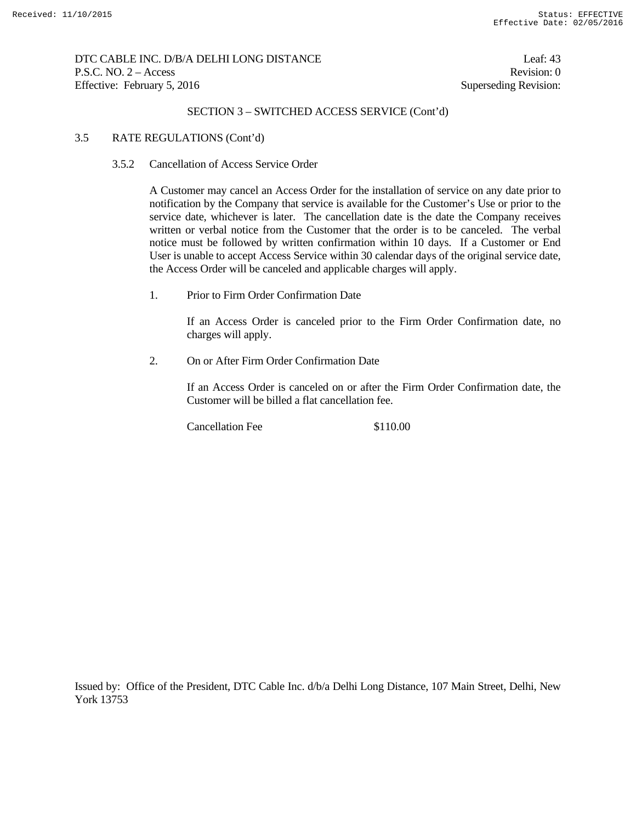DTC CABLE INC. D/B/A DELHI LONG DISTANCE Leaf: 43 P.S.C. NO. 2 – Access Revision: 0 Effective: February 5, 2016 Superseding Revision:

## SECTION 3 – SWITCHED ACCESS SERVICE (Cont'd)

### 3.5 RATE REGULATIONS (Cont'd)

### 3.5.2 Cancellation of Access Service Order

 A Customer may cancel an Access Order for the installation of service on any date prior to notification by the Company that service is available for the Customer's Use or prior to the service date, whichever is later. The cancellation date is the date the Company receives written or verbal notice from the Customer that the order is to be canceled. The verbal notice must be followed by written confirmation within 10 days. If a Customer or End User is unable to accept Access Service within 30 calendar days of the original service date, the Access Order will be canceled and applicable charges will apply.

1. Prior to Firm Order Confirmation Date

 If an Access Order is canceled prior to the Firm Order Confirmation date, no charges will apply.

2. On or After Firm Order Confirmation Date

 If an Access Order is canceled on or after the Firm Order Confirmation date, the Customer will be billed a flat cancellation fee.

Cancellation Fee \$110.00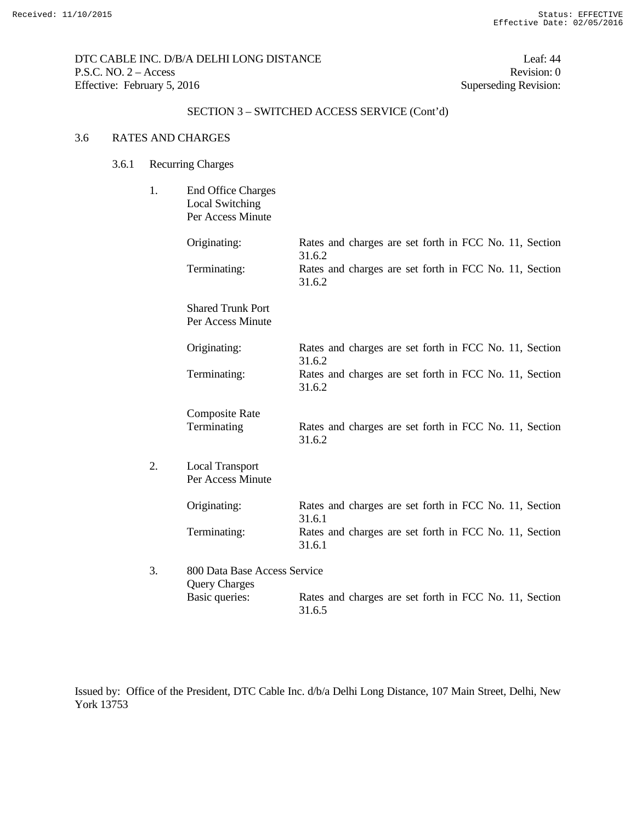DTC CABLE INC. D/B/A DELHI LONG DISTANCE Leaf: 44 P.S.C. NO. 2 – Access Revision: 0 Effective: February 5, 2016 Superseding Revision:

# SECTION 3 – SWITCHED ACCESS SERVICE (Cont'd)

## 3.6 RATES AND CHARGES

- 3.6.1 Recurring Charges
	- 1. End Office Charges Local Switching Per Access Minute

|    | Originating:                                         | Rates and charges are set forth in FCC No. 11, Section<br>31.6.2 |
|----|------------------------------------------------------|------------------------------------------------------------------|
|    | Terminating:                                         | Rates and charges are set forth in FCC No. 11, Section<br>31.6.2 |
|    | <b>Shared Trunk Port</b><br>Per Access Minute        |                                                                  |
|    | Originating:                                         | Rates and charges are set forth in FCC No. 11, Section<br>31.6.2 |
|    | Terminating:                                         | Rates and charges are set forth in FCC No. 11, Section<br>31.6.2 |
|    | <b>Composite Rate</b><br>Terminating                 | Rates and charges are set forth in FCC No. 11, Section<br>31.6.2 |
| 2. | <b>Local Transport</b><br>Per Access Minute          |                                                                  |
|    | Originating:                                         | Rates and charges are set forth in FCC No. 11, Section<br>31.6.1 |
|    | Terminating:                                         | Rates and charges are set forth in FCC No. 11, Section<br>31.6.1 |
| 3. | 800 Data Base Access Service<br><b>Query Charges</b> |                                                                  |
|    | Basic queries:                                       | Rates and charges are set forth in FCC No. 11, Section<br>31.6.5 |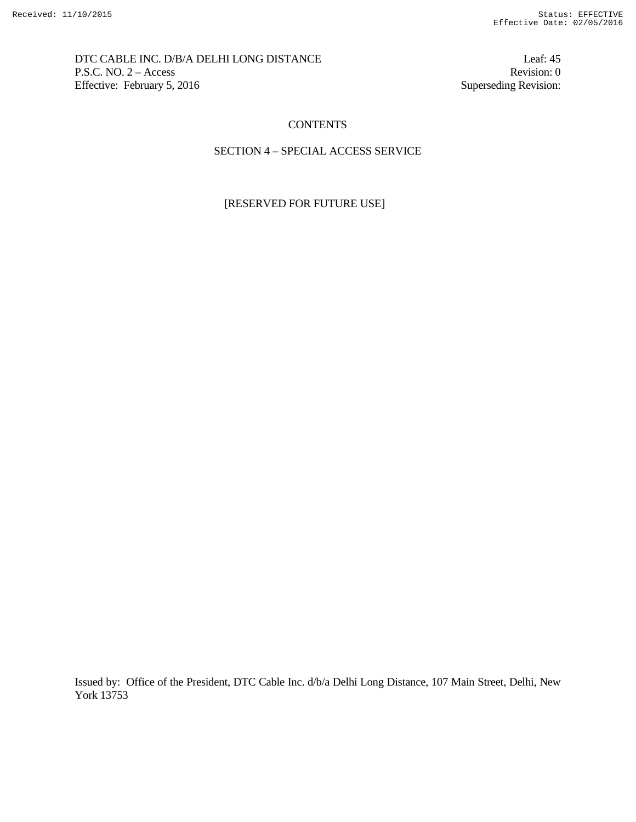DTC CABLE INC. D/B/A DELHI LONG DISTANCE Leaf: 45 P.S.C. NO. 2 – Access Revision: 0<br>Effective: February 5, 2016 Superseding Revision: 0 Effective: February 5, 2016

## **CONTENTS**

## SECTION 4 – SPECIAL ACCESS SERVICE

## [RESERVED FOR FUTURE USE]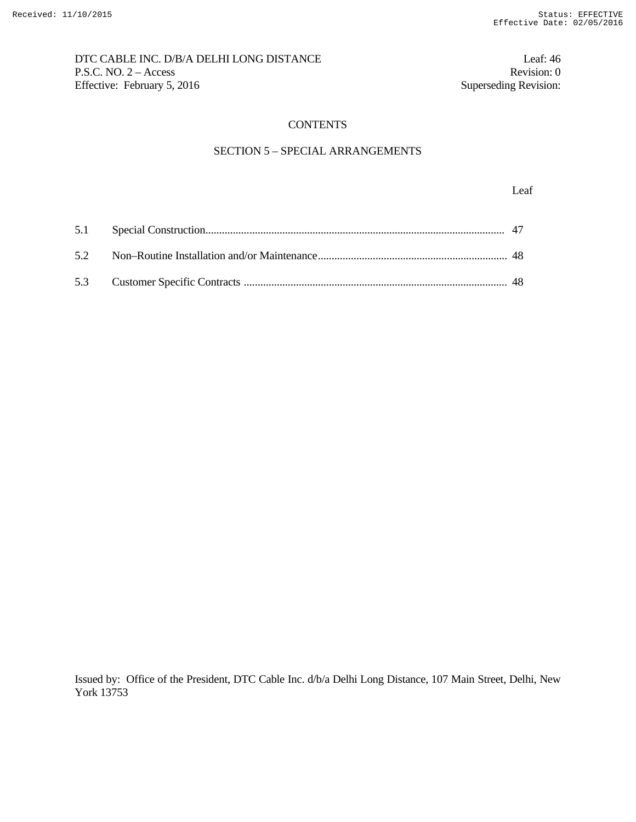# DTC CABLE INC. D/B/A DELHI LONG DISTANCE Leaf: 46 P.S.C. NO. 2 – Access Revision: 0<br>Effective: February 5, 2016 Superseding Revision: 0 Effective: February 5, 2016

# **CONTENTS**

# SECTION 5 – SPECIAL ARRANGEMENTS

Leaf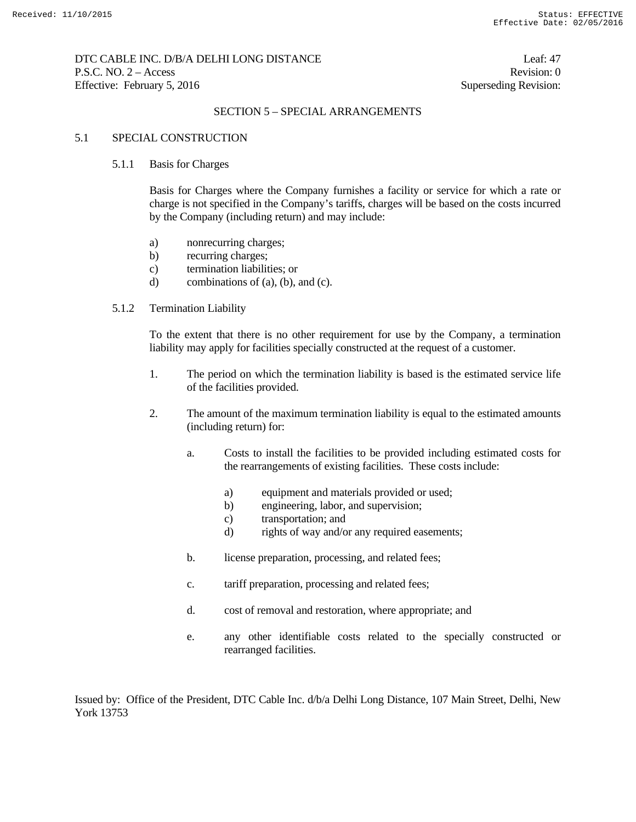## DTC CABLE INC. D/B/A DELHI LONG DISTANCE Leaf: 47 P.S.C. NO. 2 – Access Revision: 0 Effective: February 5, 2016 Superseding Revision:

## SECTION 5 – SPECIAL ARRANGEMENTS

### 5.1 SPECIAL CONSTRUCTION

### 5.1.1 Basis for Charges

 Basis for Charges where the Company furnishes a facility or service for which a rate or charge is not specified in the Company's tariffs, charges will be based on the costs incurred by the Company (including return) and may include:

- a) nonrecurring charges;
- b) recurring charges;
- c) termination liabilities; or
- d) combinations of (a), (b), and (c).

## 5.1.2 Termination Liability

 To the extent that there is no other requirement for use by the Company, a termination liability may apply for facilities specially constructed at the request of a customer.

- 1. The period on which the termination liability is based is the estimated service life of the facilities provided.
- 2. The amount of the maximum termination liability is equal to the estimated amounts (including return) for:
	- a. Costs to install the facilities to be provided including estimated costs for the rearrangements of existing facilities. These costs include:
		- a) equipment and materials provided or used;
		- b) engineering, labor, and supervision;
		- c) transportation; and
		- d) rights of way and/or any required easements;
	- b. license preparation, processing, and related fees;
	- c. tariff preparation, processing and related fees;
	- d. cost of removal and restoration, where appropriate; and
	- e. any other identifiable costs related to the specially constructed or rearranged facilities.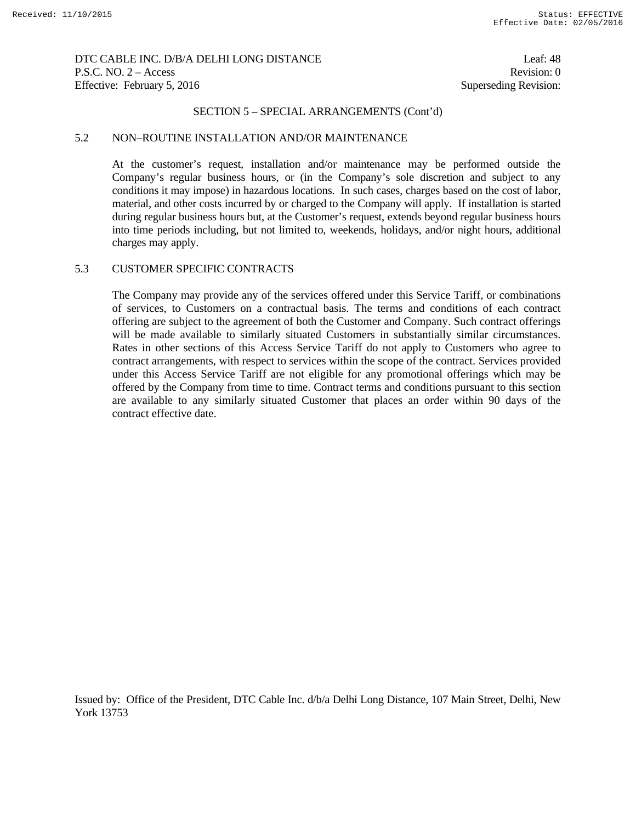## DTC CABLE INC. D/B/A DELHI LONG DISTANCE Leaf: 48 P.S.C. NO. 2 – Access Revision: 0 Effective: February 5, 2016 Superseding Revision:

### SECTION 5 – SPECIAL ARRANGEMENTS (Cont'd)

### 5.2 NON–ROUTINE INSTALLATION AND/OR MAINTENANCE

 At the customer's request, installation and/or maintenance may be performed outside the Company's regular business hours, or (in the Company's sole discretion and subject to any conditions it may impose) in hazardous locations. In such cases, charges based on the cost of labor, material, and other costs incurred by or charged to the Company will apply. If installation is started during regular business hours but, at the Customer's request, extends beyond regular business hours into time periods including, but not limited to, weekends, holidays, and/or night hours, additional charges may apply.

## 5.3 CUSTOMER SPECIFIC CONTRACTS

The Company may provide any of the services offered under this Service Tariff, or combinations of services, to Customers on a contractual basis. The terms and conditions of each contract offering are subject to the agreement of both the Customer and Company. Such contract offerings will be made available to similarly situated Customers in substantially similar circumstances. Rates in other sections of this Access Service Tariff do not apply to Customers who agree to contract arrangements, with respect to services within the scope of the contract. Services provided under this Access Service Tariff are not eligible for any promotional offerings which may be offered by the Company from time to time. Contract terms and conditions pursuant to this section are available to any similarly situated Customer that places an order within 90 days of the contract effective date.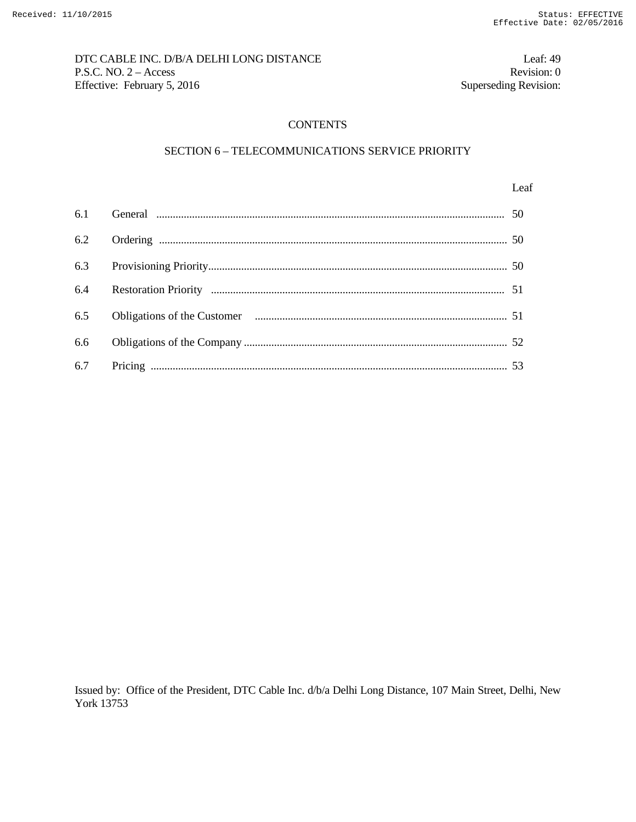# DTC CABLE INC. D/B/A DELHI LONG DISTANCE Leaf: 49 P.S.C. NO. 2 – Access Revision: 0<br>Effective: February 5, 2016 Superseding Revision: 0 Effective: February 5, 2016

## **CONTENTS**

## SECTION 6 – TELECOMMUNICATIONS SERVICE PRIORITY

#### Leaf

| 6.4 |  |
|-----|--|
|     |  |
|     |  |
|     |  |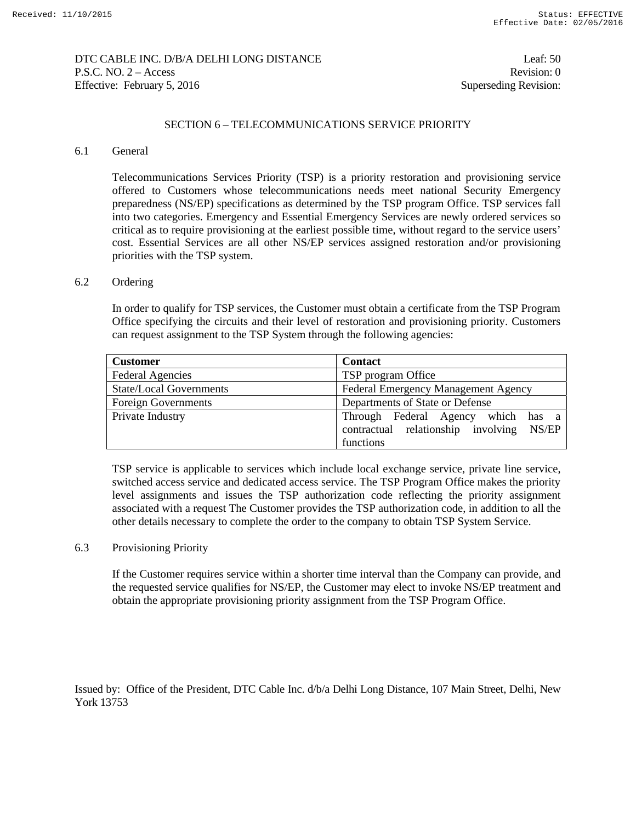## DTC CABLE INC. D/B/A DELHI LONG DISTANCE Leaf: 50 P.S.C. NO. 2 – Access Revision: 0 Effective: February 5, 2016 Superseding Revision:

## SECTION 6 – TELECOMMUNICATIONS SERVICE PRIORITY

## 6.1 General

Telecommunications Services Priority (TSP) is a priority restoration and provisioning service offered to Customers whose telecommunications needs meet national Security Emergency preparedness (NS/EP) specifications as determined by the TSP program Office. TSP services fall into two categories. Emergency and Essential Emergency Services are newly ordered services so critical as to require provisioning at the earliest possible time, without regard to the service users' cost. Essential Services are all other NS/EP services assigned restoration and/or provisioning priorities with the TSP system.

## 6.2 Ordering

In order to qualify for TSP services, the Customer must obtain a certificate from the TSP Program Office specifying the circuits and their level of restoration and provisioning priority. Customers can request assignment to the TSP System through the following agencies:

| <b>Customer</b>            | <b>Contact</b>                                                                 |
|----------------------------|--------------------------------------------------------------------------------|
| <b>Federal Agencies</b>    | TSP program Office                                                             |
| State/Local Governments    | <b>Federal Emergency Management Agency</b>                                     |
| <b>Foreign Governments</b> | Departments of State or Defense                                                |
| Private Industry           | Through Federal Agency which has a<br>contractual relationship involving NS/EP |
|                            | functions                                                                      |

TSP service is applicable to services which include local exchange service, private line service, switched access service and dedicated access service. The TSP Program Office makes the priority level assignments and issues the TSP authorization code reflecting the priority assignment associated with a request The Customer provides the TSP authorization code, in addition to all the other details necessary to complete the order to the company to obtain TSP System Service.

## 6.3 Provisioning Priority

If the Customer requires service within a shorter time interval than the Company can provide, and the requested service qualifies for NS/EP, the Customer may elect to invoke NS/EP treatment and obtain the appropriate provisioning priority assignment from the TSP Program Office.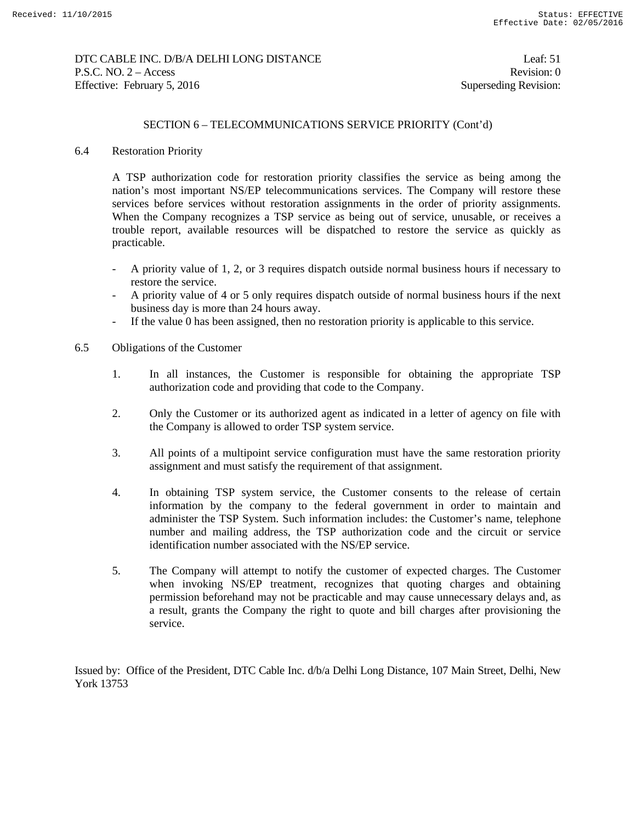## DTC CABLE INC. D/B/A DELHI LONG DISTANCE Leaf: 51 P.S.C. NO. 2 – Access Revision: 0 Effective: February 5, 2016 Superseding Revision:

## SECTION 6 – TELECOMMUNICATIONS SERVICE PRIORITY (Cont'd)

## 6.4 Restoration Priority

A TSP authorization code for restoration priority classifies the service as being among the nation's most important NS/EP telecommunications services. The Company will restore these services before services without restoration assignments in the order of priority assignments. When the Company recognizes a TSP service as being out of service, unusable, or receives a trouble report, available resources will be dispatched to restore the service as quickly as practicable.

- A priority value of 1, 2, or 3 requires dispatch outside normal business hours if necessary to restore the service.
- A priority value of 4 or 5 only requires dispatch outside of normal business hours if the next business day is more than 24 hours away.
- If the value 0 has been assigned, then no restoration priority is applicable to this service.
- 6.5 Obligations of the Customer
	- 1. In all instances, the Customer is responsible for obtaining the appropriate TSP authorization code and providing that code to the Company.
	- 2. Only the Customer or its authorized agent as indicated in a letter of agency on file with the Company is allowed to order TSP system service.
	- 3. All points of a multipoint service configuration must have the same restoration priority assignment and must satisfy the requirement of that assignment.
	- 4. In obtaining TSP system service, the Customer consents to the release of certain information by the company to the federal government in order to maintain and administer the TSP System. Such information includes: the Customer's name, telephone number and mailing address, the TSP authorization code and the circuit or service identification number associated with the NS/EP service.
	- 5. The Company will attempt to notify the customer of expected charges. The Customer when invoking NS/EP treatment, recognizes that quoting charges and obtaining permission beforehand may not be practicable and may cause unnecessary delays and, as a result, grants the Company the right to quote and bill charges after provisioning the service.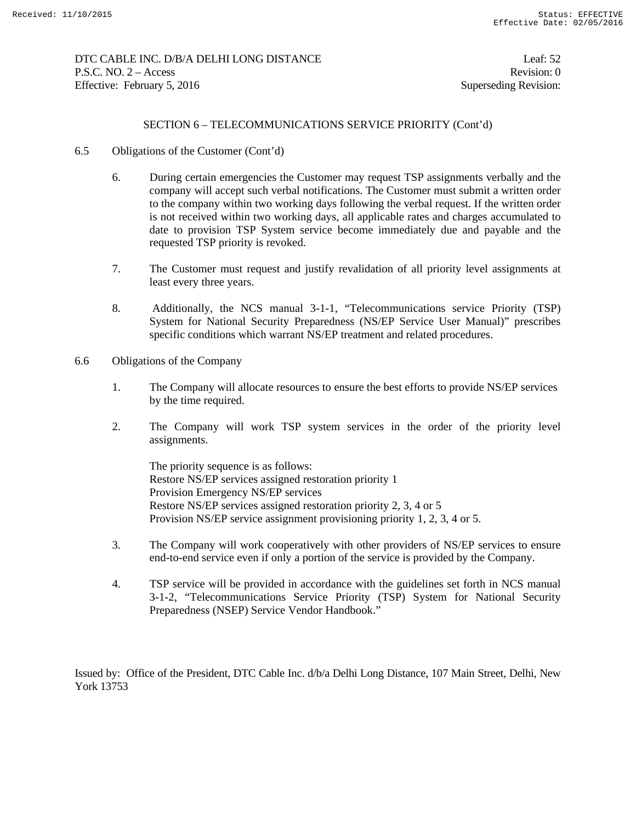## DTC CABLE INC. D/B/A DELHI LONG DISTANCE Leaf: 52 P.S.C. NO. 2 – Access Revision: 0 Effective: February 5, 2016 Superseding Revision:

## SECTION 6 – TELECOMMUNICATIONS SERVICE PRIORITY (Cont'd)

- 6.5 Obligations of the Customer (Cont'd)
	- 6. During certain emergencies the Customer may request TSP assignments verbally and the company will accept such verbal notifications. The Customer must submit a written order to the company within two working days following the verbal request. If the written order is not received within two working days, all applicable rates and charges accumulated to date to provision TSP System service become immediately due and payable and the requested TSP priority is revoked.
	- 7. The Customer must request and justify revalidation of all priority level assignments at least every three years.
	- 8. Additionally, the NCS manual 3-1-1, "Telecommunications service Priority (TSP) System for National Security Preparedness (NS/EP Service User Manual)" prescribes specific conditions which warrant NS/EP treatment and related procedures.
- 6.6 Obligations of the Company
	- 1. The Company will allocate resources to ensure the best efforts to provide NS/EP services by the time required.
	- 2. The Company will work TSP system services in the order of the priority level assignments.

 The priority sequence is as follows: Restore NS/EP services assigned restoration priority 1 Provision Emergency NS/EP services Restore NS/EP services assigned restoration priority 2, 3, 4 or 5 Provision NS/EP service assignment provisioning priority 1, 2, 3, 4 or 5.

- 3. The Company will work cooperatively with other providers of NS/EP services to ensure end-to-end service even if only a portion of the service is provided by the Company.
- 4. TSP service will be provided in accordance with the guidelines set forth in NCS manual 3-1-2, "Telecommunications Service Priority (TSP) System for National Security Preparedness (NSEP) Service Vendor Handbook."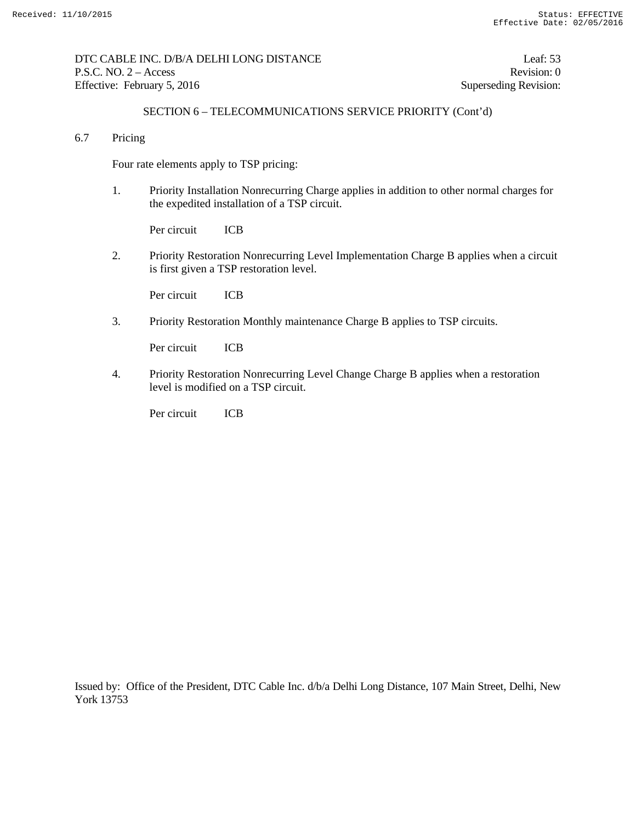## DTC CABLE INC. D/B/A DELHI LONG DISTANCE Leaf: 53 P.S.C. NO. 2 – Access Revision: 0 Effective: February 5, 2016 Superseding Revision:

# SECTION 6 – TELECOMMUNICATIONS SERVICE PRIORITY (Cont'd)

6.7 Pricing

Four rate elements apply to TSP pricing:

1. Priority Installation Nonrecurring Charge applies in addition to other normal charges for the expedited installation of a TSP circuit.

Per circuit ICB

2. Priority Restoration Nonrecurring Level Implementation Charge B applies when a circuit is first given a TSP restoration level.

Per circuit ICB

3. Priority Restoration Monthly maintenance Charge B applies to TSP circuits.

Per circuit ICB

4. Priority Restoration Nonrecurring Level Change Charge B applies when a restoration level is modified on a TSP circuit.

Per circuit ICB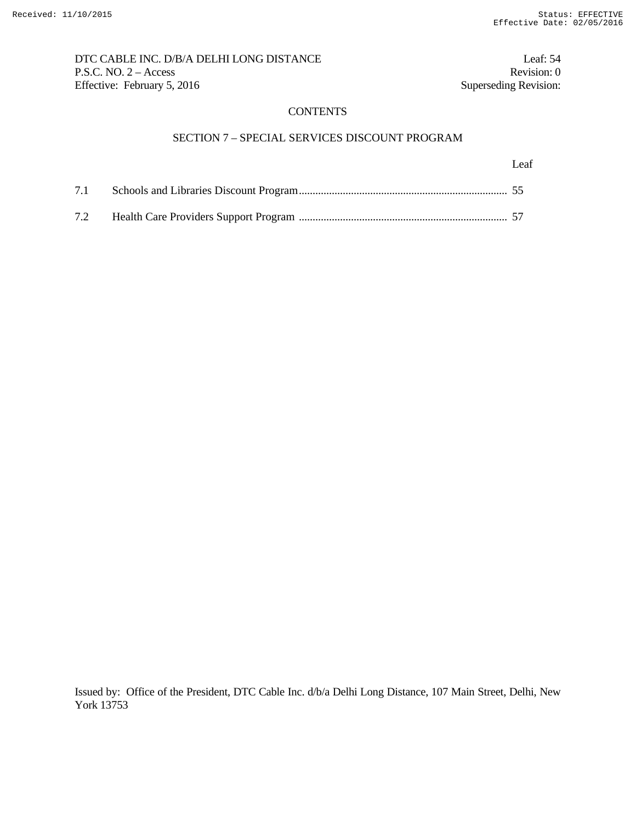DTC CABLE INC. D/B/A DELHI LONG DISTANCE Leaf: 54 P.S.C. NO. 2 – Access Revision: 0<br>Effective: February 5, 2016 Superseding Revision: 0 Effective: February 5, 2016

## **CONTENTS**

# SECTION 7 – SPECIAL SERVICES DISCOUNT PROGRAM

Leaf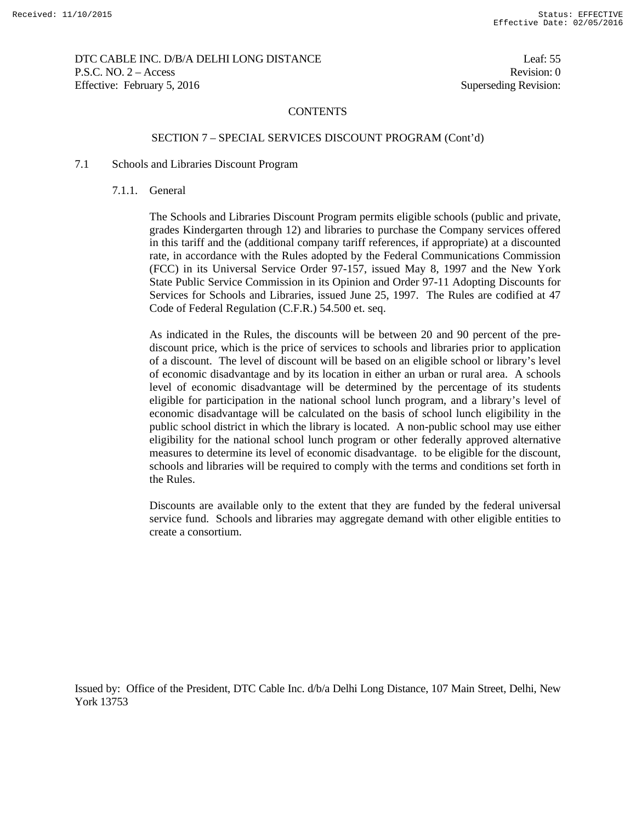DTC CABLE INC. D/B/A DELHI LONG DISTANCE Leaf: 55 P.S.C. NO. 2 – Access Revision: 0 Effective: February 5, 2016 Superseding Revision:

#### **CONTENTS**

### SECTION 7 – SPECIAL SERVICES DISCOUNT PROGRAM (Cont'd)

#### 7.1 Schools and Libraries Discount Program

7.1.1. General

The Schools and Libraries Discount Program permits eligible schools (public and private, grades Kindergarten through 12) and libraries to purchase the Company services offered in this tariff and the (additional company tariff references, if appropriate) at a discounted rate, in accordance with the Rules adopted by the Federal Communications Commission (FCC) in its Universal Service Order 97-157, issued May 8, 1997 and the New York State Public Service Commission in its Opinion and Order 97-11 Adopting Discounts for Services for Schools and Libraries, issued June 25, 1997. The Rules are codified at 47 Code of Federal Regulation (C.F.R.) 54.500 et. seq.

As indicated in the Rules, the discounts will be between 20 and 90 percent of the prediscount price, which is the price of services to schools and libraries prior to application of a discount. The level of discount will be based on an eligible school or library's level of economic disadvantage and by its location in either an urban or rural area. A schools level of economic disadvantage will be determined by the percentage of its students eligible for participation in the national school lunch program, and a library's level of economic disadvantage will be calculated on the basis of school lunch eligibility in the public school district in which the library is located. A non-public school may use either eligibility for the national school lunch program or other federally approved alternative measures to determine its level of economic disadvantage. to be eligible for the discount, schools and libraries will be required to comply with the terms and conditions set forth in the Rules.

Discounts are available only to the extent that they are funded by the federal universal service fund. Schools and libraries may aggregate demand with other eligible entities to create a consortium.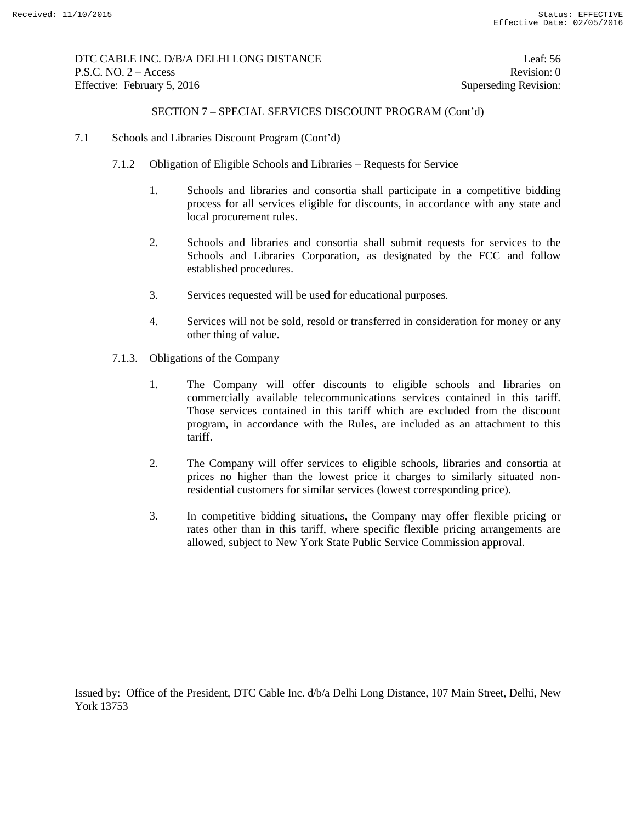# DTC CABLE INC. D/B/A DELHI LONG DISTANCE Leaf: 56 P.S.C. NO. 2 – Access Revision: 0 Effective: February 5, 2016 Superseding Revision:

## SECTION 7 – SPECIAL SERVICES DISCOUNT PROGRAM (Cont'd)

- 7.1 Schools and Libraries Discount Program (Cont'd)
	- 7.1.2 Obligation of Eligible Schools and Libraries Requests for Service
		- 1. Schools and libraries and consortia shall participate in a competitive bidding process for all services eligible for discounts, in accordance with any state and local procurement rules.
		- 2. Schools and libraries and consortia shall submit requests for services to the Schools and Libraries Corporation, as designated by the FCC and follow established procedures.
		- 3. Services requested will be used for educational purposes.
		- 4. Services will not be sold, resold or transferred in consideration for money or any other thing of value.
	- 7.1.3. Obligations of the Company
		- 1. The Company will offer discounts to eligible schools and libraries on commercially available telecommunications services contained in this tariff. Those services contained in this tariff which are excluded from the discount program, in accordance with the Rules, are included as an attachment to this tariff.
		- 2. The Company will offer services to eligible schools, libraries and consortia at prices no higher than the lowest price it charges to similarly situated nonresidential customers for similar services (lowest corresponding price).
		- 3. In competitive bidding situations, the Company may offer flexible pricing or rates other than in this tariff, where specific flexible pricing arrangements are allowed, subject to New York State Public Service Commission approval.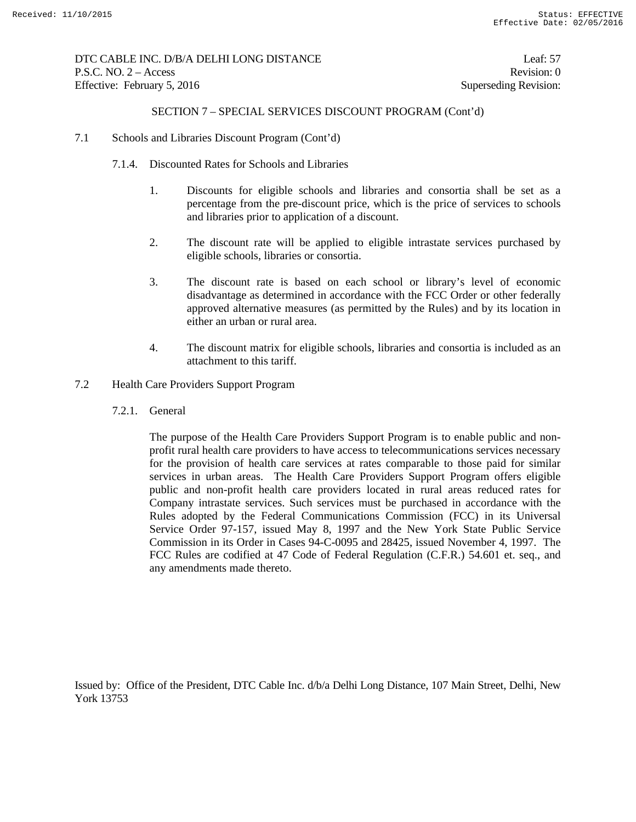DTC CABLE INC. D/B/A DELHI LONG DISTANCE Leaf: 57 P.S.C. NO. 2 – Access Revision: 0 Effective: February 5, 2016 Superseding Revision:

## SECTION 7 – SPECIAL SERVICES DISCOUNT PROGRAM (Cont'd)

- 7.1 Schools and Libraries Discount Program (Cont'd)
	- 7.1.4. Discounted Rates for Schools and Libraries
		- 1. Discounts for eligible schools and libraries and consortia shall be set as a percentage from the pre-discount price, which is the price of services to schools and libraries prior to application of a discount.
		- 2. The discount rate will be applied to eligible intrastate services purchased by eligible schools, libraries or consortia.
		- 3. The discount rate is based on each school or library's level of economic disadvantage as determined in accordance with the FCC Order or other federally approved alternative measures (as permitted by the Rules) and by its location in either an urban or rural area.
		- 4. The discount matrix for eligible schools, libraries and consortia is included as an attachment to this tariff.
- 7.2 Health Care Providers Support Program
	- 7.2.1. General

The purpose of the Health Care Providers Support Program is to enable public and nonprofit rural health care providers to have access to telecommunications services necessary for the provision of health care services at rates comparable to those paid for similar services in urban areas. The Health Care Providers Support Program offers eligible public and non-profit health care providers located in rural areas reduced rates for Company intrastate services. Such services must be purchased in accordance with the Rules adopted by the Federal Communications Commission (FCC) in its Universal Service Order 97-157, issued May 8, 1997 and the New York State Public Service Commission in its Order in Cases 94-C-0095 and 28425, issued November 4, 1997. The FCC Rules are codified at 47 Code of Federal Regulation (C.F.R.) 54.601 et. seq., and any amendments made thereto.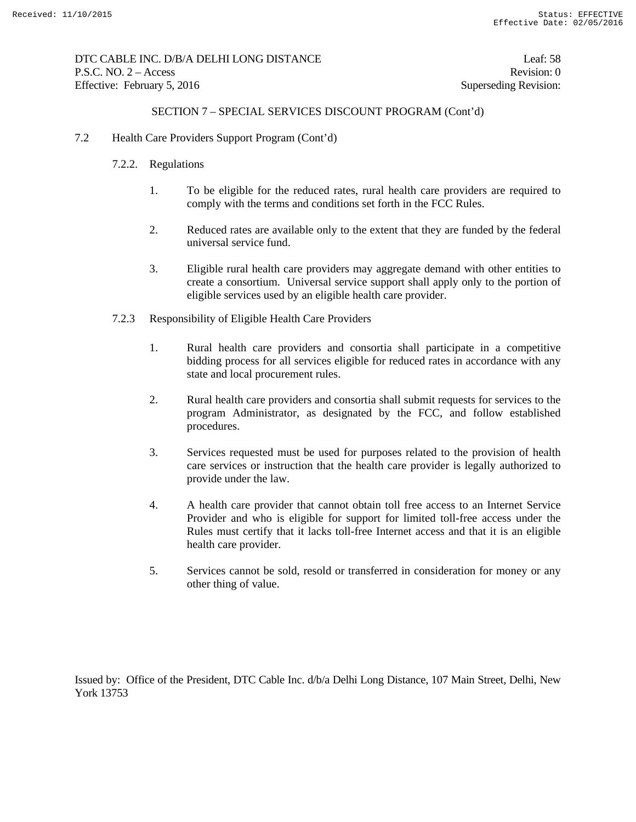DTC CABLE INC. D/B/A DELHI LONG DISTANCE Leaf: 58 P.S.C. NO. 2 – Access Revision: 0 Effective: February 5, 2016 Superseding Revision:

## SECTION 7 – SPECIAL SERVICES DISCOUNT PROGRAM (Cont'd)

- 7.2 Health Care Providers Support Program (Cont'd)
	- 7.2.2. Regulations
		- 1. To be eligible for the reduced rates, rural health care providers are required to comply with the terms and conditions set forth in the FCC Rules.
		- 2. Reduced rates are available only to the extent that they are funded by the federal universal service fund.
		- 3. Eligible rural health care providers may aggregate demand with other entities to create a consortium. Universal service support shall apply only to the portion of eligible services used by an eligible health care provider.
	- 7.2.3 Responsibility of Eligible Health Care Providers
		- 1. Rural health care providers and consortia shall participate in a competitive bidding process for all services eligible for reduced rates in accordance with any state and local procurement rules.
		- 2. Rural health care providers and consortia shall submit requests for services to the program Administrator, as designated by the FCC, and follow established procedures.
		- 3. Services requested must be used for purposes related to the provision of health care services or instruction that the health care provider is legally authorized to provide under the law.
		- 4. A health care provider that cannot obtain toll free access to an Internet Service Provider and who is eligible for support for limited toll-free access under the Rules must certify that it lacks toll-free Internet access and that it is an eligible health care provider.
		- 5. Services cannot be sold, resold or transferred in consideration for money or any other thing of value.